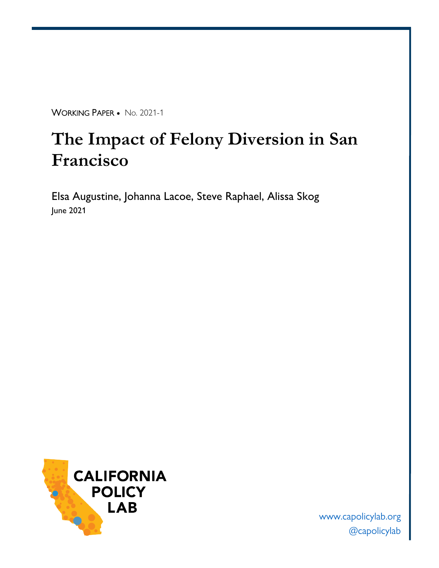WORKING PAPER • No. 2021-1

# **The Impact of Felony Diversion in San Francisco**

Elsa Augustine, Johanna Lacoe, Steve Raphael, Alissa Skog June 2021



[www.capolicylab.org](http://www.capolicylab.org/) [@capolicylab](https://twitter.com/CAPolicyLab)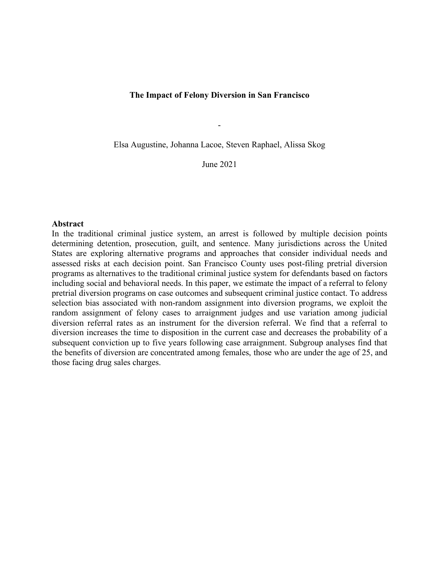#### **The Impact of Felony Diversion in San Francisco**

Elsa Augustine, Johanna Lacoe, Steven Raphael, Alissa Skog

-

June 2021

#### **Abstract**

In the traditional criminal justice system, an arrest is followed by multiple decision points determining detention, prosecution, guilt, and sentence. Many jurisdictions across the United States are exploring alternative programs and approaches that consider individual needs and assessed risks at each decision point. San Francisco County uses post-filing pretrial diversion programs as alternatives to the traditional criminal justice system for defendants based on factors including social and behavioral needs. In this paper, we estimate the impact of a referral to felony pretrial diversion programs on case outcomes and subsequent criminal justice contact. To address selection bias associated with non-random assignment into diversion programs, we exploit the random assignment of felony cases to arraignment judges and use variation among judicial diversion referral rates as an instrument for the diversion referral. We find that a referral to diversion increases the time to disposition in the current case and decreases the probability of a subsequent conviction up to five years following case arraignment. Subgroup analyses find that the benefits of diversion are concentrated among females, those who are under the age of 25, and those facing drug sales charges.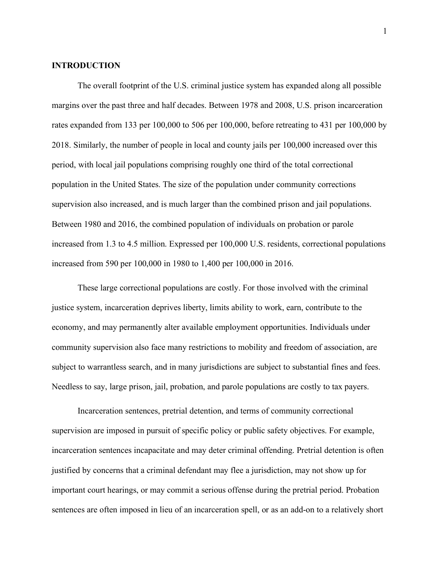#### **INTRODUCTION**

The overall footprint of the U.S. criminal justice system has expanded along all possible margins over the past three and half decades. Between 1978 and 2008, U.S. prison incarceration rates expanded from 133 per 100,000 to 506 per 100,000, before retreating to 431 per 100,000 by 2018. Similarly, the number of people in local and county jails per 100,000 increased over this period, with local jail populations comprising roughly one third of the total correctional population in the United States. The size of the population under community corrections supervision also increased, and is much larger than the combined prison and jail populations. Between 1980 and 2016, the combined population of individuals on probation or parole increased from 1.3 to 4.5 million. Expressed per 100,000 U.S. residents, correctional populations increased from 590 per 100,000 in 1980 to 1,400 per 100,000 in 2016.

These large correctional populations are costly. For those involved with the criminal justice system, incarceration deprives liberty, limits ability to work, earn, contribute to the economy, and may permanently alter available employment opportunities. Individuals under community supervision also face many restrictions to mobility and freedom of association, are subject to warrantless search, and in many jurisdictions are subject to substantial fines and fees. Needless to say, large prison, jail, probation, and parole populations are costly to tax payers.

Incarceration sentences, pretrial detention, and terms of community correctional supervision are imposed in pursuit of specific policy or public safety objectives. For example, incarceration sentences incapacitate and may deter criminal offending. Pretrial detention is often justified by concerns that a criminal defendant may flee a jurisdiction, may not show up for important court hearings, or may commit a serious offense during the pretrial period. Probation sentences are often imposed in lieu of an incarceration spell, or as an add-on to a relatively short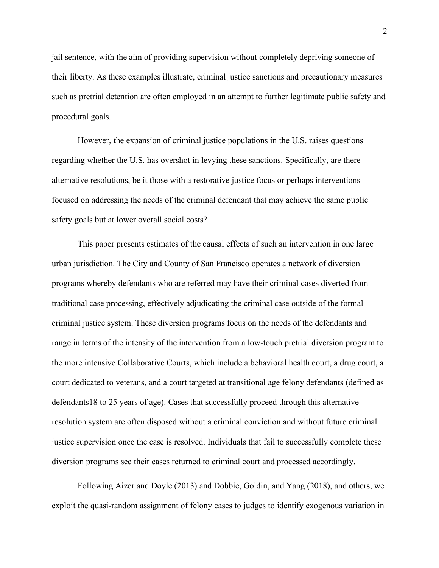jail sentence, with the aim of providing supervision without completely depriving someone of their liberty. As these examples illustrate, criminal justice sanctions and precautionary measures such as pretrial detention are often employed in an attempt to further legitimate public safety and procedural goals.

However, the expansion of criminal justice populations in the U.S. raises questions regarding whether the U.S. has overshot in levying these sanctions. Specifically, are there alternative resolutions, be it those with a restorative justice focus or perhaps interventions focused on addressing the needs of the criminal defendant that may achieve the same public safety goals but at lower overall social costs?

This paper presents estimates of the causal effects of such an intervention in one large urban jurisdiction. The City and County of San Francisco operates a network of diversion programs whereby defendants who are referred may have their criminal cases diverted from traditional case processing, effectively adjudicating the criminal case outside of the formal criminal justice system. These diversion programs focus on the needs of the defendants and range in terms of the intensity of the intervention from a low-touch pretrial diversion program to the more intensive Collaborative Courts, which include a behavioral health court, a drug court, a court dedicated to veterans, and a court targeted at transitional age felony defendants (defined as defendants18 to 25 years of age). Cases that successfully proceed through this alternative resolution system are often disposed without a criminal conviction and without future criminal justice supervision once the case is resolved. Individuals that fail to successfully complete these diversion programs see their cases returned to criminal court and processed accordingly.

Following Aizer and Doyle (2013) and Dobbie, Goldin, and Yang (2018), and others, we exploit the quasi-random assignment of felony cases to judges to identify exogenous variation in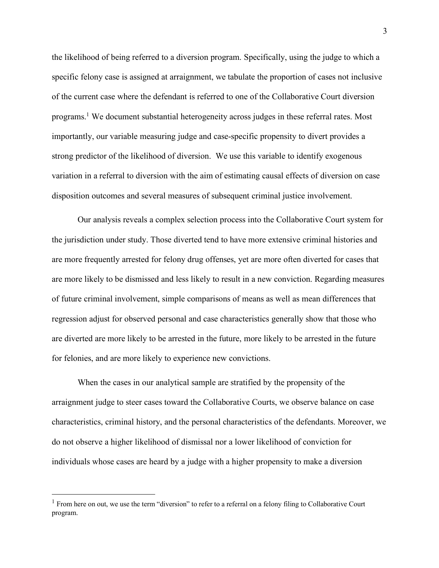the likelihood of being referred to a diversion program. Specifically, using the judge to which a specific felony case is assigned at arraignment, we tabulate the proportion of cases not inclusive of the current case where the defendant is referred to one of the Collaborative Court diversion programs.1 We document substantial heterogeneity across judges in these referral rates. Most importantly, our variable measuring judge and case-specific propensity to divert provides a strong predictor of the likelihood of diversion. We use this variable to identify exogenous variation in a referral to diversion with the aim of estimating causal effects of diversion on case disposition outcomes and several measures of subsequent criminal justice involvement.

Our analysis reveals a complex selection process into the Collaborative Court system for the jurisdiction under study. Those diverted tend to have more extensive criminal histories and are more frequently arrested for felony drug offenses, yet are more often diverted for cases that are more likely to be dismissed and less likely to result in a new conviction. Regarding measures of future criminal involvement, simple comparisons of means as well as mean differences that regression adjust for observed personal and case characteristics generally show that those who are diverted are more likely to be arrested in the future, more likely to be arrested in the future for felonies, and are more likely to experience new convictions.

When the cases in our analytical sample are stratified by the propensity of the arraignment judge to steer cases toward the Collaborative Courts, we observe balance on case characteristics, criminal history, and the personal characteristics of the defendants. Moreover, we do not observe a higher likelihood of dismissal nor a lower likelihood of conviction for individuals whose cases are heard by a judge with a higher propensity to make a diversion

<sup>&</sup>lt;sup>1</sup> From here on out, we use the term "diversion" to refer to a referral on a felony filing to Collaborative Court program.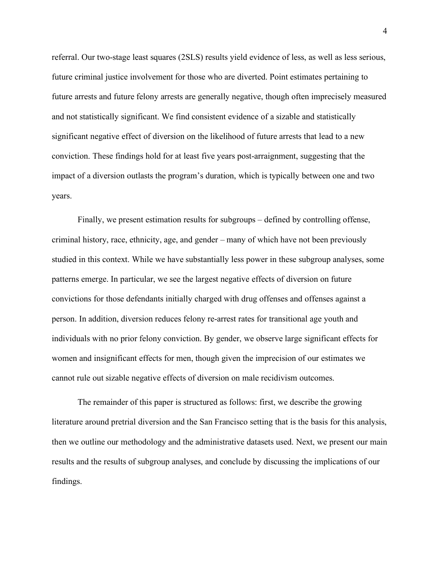referral. Our two-stage least squares (2SLS) results yield evidence of less, as well as less serious, future criminal justice involvement for those who are diverted. Point estimates pertaining to future arrests and future felony arrests are generally negative, though often imprecisely measured and not statistically significant. We find consistent evidence of a sizable and statistically significant negative effect of diversion on the likelihood of future arrests that lead to a new conviction. These findings hold for at least five years post-arraignment, suggesting that the impact of a diversion outlasts the program's duration, which is typically between one and two years.

Finally, we present estimation results for subgroups – defined by controlling offense, criminal history, race, ethnicity, age, and gender – many of which have not been previously studied in this context. While we have substantially less power in these subgroup analyses, some patterns emerge. In particular, we see the largest negative effects of diversion on future convictions for those defendants initially charged with drug offenses and offenses against a person. In addition, diversion reduces felony re-arrest rates for transitional age youth and individuals with no prior felony conviction. By gender, we observe large significant effects for women and insignificant effects for men, though given the imprecision of our estimates we cannot rule out sizable negative effects of diversion on male recidivism outcomes.

The remainder of this paper is structured as follows: first, we describe the growing literature around pretrial diversion and the San Francisco setting that is the basis for this analysis, then we outline our methodology and the administrative datasets used. Next, we present our main results and the results of subgroup analyses, and conclude by discussing the implications of our findings.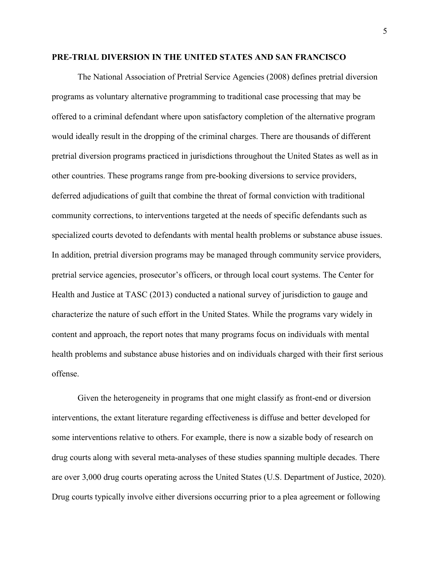#### **PRE-TRIAL DIVERSION IN THE UNITED STATES AND SAN FRANCISCO**

The National Association of Pretrial Service Agencies (2008) defines pretrial diversion programs as voluntary alternative programming to traditional case processing that may be offered to a criminal defendant where upon satisfactory completion of the alternative program would ideally result in the dropping of the criminal charges. There are thousands of different pretrial diversion programs practiced in jurisdictions throughout the United States as well as in other countries. These programs range from pre-booking diversions to service providers, deferred adjudications of guilt that combine the threat of formal conviction with traditional community corrections, to interventions targeted at the needs of specific defendants such as specialized courts devoted to defendants with mental health problems or substance abuse issues. In addition, pretrial diversion programs may be managed through community service providers, pretrial service agencies, prosecutor's officers, or through local court systems. The Center for Health and Justice at TASC (2013) conducted a national survey of jurisdiction to gauge and characterize the nature of such effort in the United States. While the programs vary widely in content and approach, the report notes that many programs focus on individuals with mental health problems and substance abuse histories and on individuals charged with their first serious offense.

Given the heterogeneity in programs that one might classify as front-end or diversion interventions, the extant literature regarding effectiveness is diffuse and better developed for some interventions relative to others. For example, there is now a sizable body of research on drug courts along with several meta-analyses of these studies spanning multiple decades. There are over 3,000 drug courts operating across the United States (U.S. Department of Justice, 2020). Drug courts typically involve either diversions occurring prior to a plea agreement or following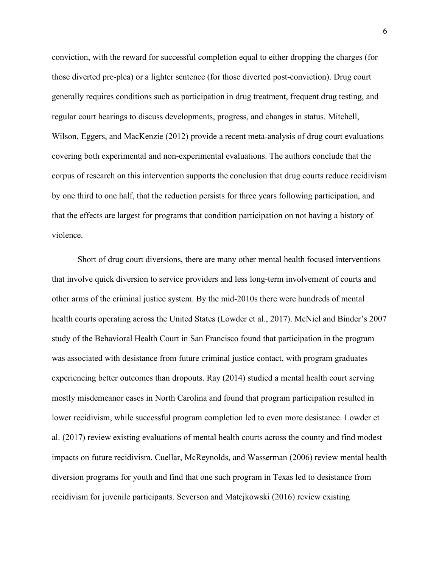conviction, with the reward for successful completion equal to either dropping the charges (for those diverted pre-plea) or a lighter sentence (for those diverted post-conviction). Drug court generally requires conditions such as participation in drug treatment, frequent drug testing, and regular court hearings to discuss developments, progress, and changes in status. Mitchell, Wilson, Eggers, and MacKenzie (2012) provide a recent meta-analysis of drug court evaluations covering both experimental and non-experimental evaluations. The authors conclude that the corpus of research on this intervention supports the conclusion that drug courts reduce recidivism by one third to one half, that the reduction persists for three years following participation, and that the effects are largest for programs that condition participation on not having a history of violence.

Short of drug court diversions, there are many other mental health focused interventions that involve quick diversion to service providers and less long-term involvement of courts and other arms of the criminal justice system. By the mid-2010s there were hundreds of mental health courts operating across the United States (Lowder et al., 2017). McNiel and Binder's 2007 study of the Behavioral Health Court in San Francisco found that participation in the program was associated with desistance from future criminal justice contact, with program graduates experiencing better outcomes than dropouts. Ray (2014) studied a mental health court serving mostly misdemeanor cases in North Carolina and found that program participation resulted in lower recidivism, while successful program completion led to even more desistance. Lowder et al. (2017) review existing evaluations of mental health courts across the county and find modest impacts on future recidivism. Cuellar, McReynolds, and Wasserman (2006) review mental health diversion programs for youth and find that one such program in Texas led to desistance from recidivism for juvenile participants. Severson and Matejkowski (2016) review existing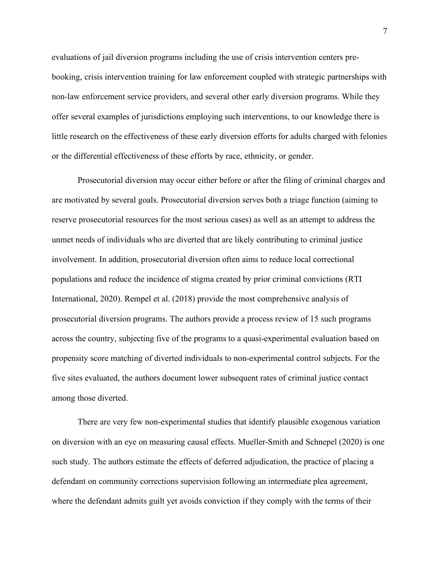evaluations of jail diversion programs including the use of crisis intervention centers prebooking, crisis intervention training for law enforcement coupled with strategic partnerships with non-law enforcement service providers, and several other early diversion programs. While they offer several examples of jurisdictions employing such interventions, to our knowledge there is little research on the effectiveness of these early diversion efforts for adults charged with felonies or the differential effectiveness of these efforts by race, ethnicity, or gender.

Prosecutorial diversion may occur either before or after the filing of criminal charges and are motivated by several goals. Prosecutorial diversion serves both a triage function (aiming to reserve prosecutorial resources for the most serious cases) as well as an attempt to address the unmet needs of individuals who are diverted that are likely contributing to criminal justice involvement. In addition, prosecutorial diversion often aims to reduce local correctional populations and reduce the incidence of stigma created by prior criminal convictions (RTI International, 2020). Rempel et al. (2018) provide the most comprehensive analysis of prosecutorial diversion programs. The authors provide a process review of 15 such programs across the country, subjecting five of the programs to a quasi-experimental evaluation based on propensity score matching of diverted individuals to non-experimental control subjects. For the five sites evaluated, the authors document lower subsequent rates of criminal justice contact among those diverted.

There are very few non-experimental studies that identify plausible exogenous variation on diversion with an eye on measuring causal effects. Mueller-Smith and Schnepel (2020) is one such study. The authors estimate the effects of deferred adjudication, the practice of placing a defendant on community corrections supervision following an intermediate plea agreement, where the defendant admits guilt yet avoids conviction if they comply with the terms of their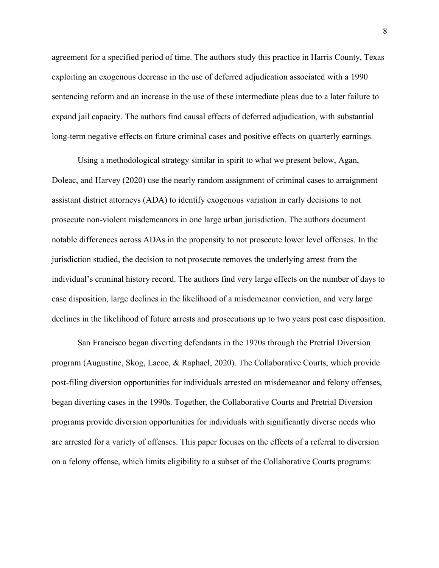agreement for a specified period of time. The authors study this practice in Harris County, Texas exploiting an exogenous decrease in the use of deferred adjudication associated with a 1990 sentencing reform and an increase in the use of these intermediate pleas due to a later failure to expand jail capacity. The authors find causal effects of deferred adjudication, with substantial long-term negative effects on future criminal cases and positive effects on quarterly earnings.

Using a methodological strategy similar in spirit to what we present below, Agan, Doleac, and Harvey (2020) use the nearly random assignment of criminal cases to arraignment assistant district attorneys (ADA) to identify exogenous variation in early decisions to not prosecute non-violent misdemeanors in one large urban jurisdiction. The authors document notable differences across ADAs in the propensity to not prosecute lower level offenses. In the jurisdiction studied, the decision to not prosecute removes the underlying arrest from the individual's criminal history record. The authors find very large effects on the number of days to case disposition, large declines in the likelihood of a misdemeanor conviction, and very large declines in the likelihood of future arrests and prosecutions up to two years post case disposition.

San Francisco began diverting defendants in the 1970s through the Pretrial Diversion program (Augustine, Skog, Lacoe, & Raphael, 2020). The Collaborative Courts, which provide post-filing diversion opportunities for individuals arrested on misdemeanor and felony offenses, began diverting cases in the 1990s. Together, the Collaborative Courts and Pretrial Diversion programs provide diversion opportunities for individuals with significantly diverse needs who are arrested for a variety of offenses. This paper focuses on the effects of a referral to diversion on a felony offense, which limits eligibility to a subset of the Collaborative Courts programs: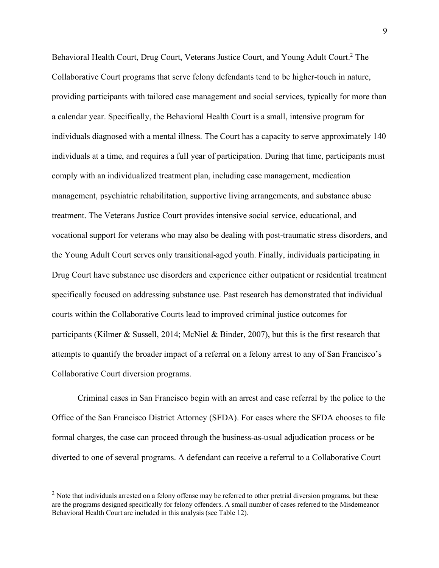Behavioral Health Court, Drug Court, Veterans Justice Court, and Young Adult Court.<sup>2</sup> The Collaborative Court programs that serve felony defendants tend to be higher-touch in nature, providing participants with tailored case management and social services, typically for more than a calendar year. Specifically, the Behavioral Health Court is a small, intensive program for individuals diagnosed with a mental illness. The Court has a capacity to serve approximately 140 individuals at a time, and requires a full year of participation. During that time, participants must comply with an individualized treatment plan, including case management, medication management, psychiatric rehabilitation, supportive living arrangements, and substance abuse treatment. The Veterans Justice Court provides intensive social service, educational, and vocational support for veterans who may also be dealing with post-traumatic stress disorders, and the Young Adult Court serves only transitional-aged youth. Finally, individuals participating in Drug Court have substance use disorders and experience either outpatient or residential treatment specifically focused on addressing substance use. Past research has demonstrated that individual courts within the Collaborative Courts lead to improved criminal justice outcomes for participants (Kilmer & Sussell, 2014; McNiel & Binder, 2007), but this is the first research that attempts to quantify the broader impact of a referral on a felony arrest to any of San Francisco's Collaborative Court diversion programs.

Criminal cases in San Francisco begin with an arrest and case referral by the police to the Office of the San Francisco District Attorney (SFDA). For cases where the SFDA chooses to file formal charges, the case can proceed through the business-as-usual adjudication process or be diverted to one of several programs. A defendant can receive a referral to a Collaborative Court

 $<sup>2</sup>$  Note that individuals arrested on a felony offense may be referred to other pretrial diversion programs, but these</sup> are the programs designed specifically for felony offenders. A small number of cases referred to the Misdemeanor Behavioral Health Court are included in this analysis (see Table 12).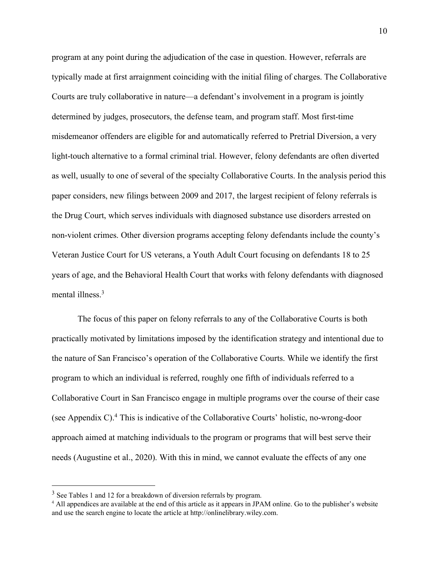program at any point during the adjudication of the case in question. However, referrals are typically made at first arraignment coinciding with the initial filing of charges. The Collaborative Courts are truly collaborative in nature—a defendant's involvement in a program is jointly determined by judges, prosecutors, the defense team, and program staff. Most first-time misdemeanor offenders are eligible for and automatically referred to Pretrial Diversion, a very light-touch alternative to a formal criminal trial. However, felony defendants are often diverted as well, usually to one of several of the specialty Collaborative Courts. In the analysis period this paper considers, new filings between 2009 and 2017, the largest recipient of felony referrals is the Drug Court, which serves individuals with diagnosed substance use disorders arrested on non-violent crimes. Other diversion programs accepting felony defendants include the county's Veteran Justice Court for US veterans, a Youth Adult Court focusing on defendants 18 to 25 years of age, and the Behavioral Health Court that works with felony defendants with diagnosed mental illness.<sup>3</sup>

The focus of this paper on felony referrals to any of the Collaborative Courts is both practically motivated by limitations imposed by the identification strategy and intentional due to the nature of San Francisco's operation of the Collaborative Courts. While we identify the first program to which an individual is referred, roughly one fifth of individuals referred to a Collaborative Court in San Francisco engage in multiple programs over the course of their case (see Appendix C). <sup>4</sup> This is indicative of the Collaborative Courts' holistic, no-wrong-door approach aimed at matching individuals to the program or programs that will best serve their needs (Augustine et al., 2020). With this in mind, we cannot evaluate the effects of any one

<sup>&</sup>lt;sup>3</sup> See Tables 1 and 12 for a breakdown of diversion referrals by program.

<sup>4</sup> All appendices are available at the end of this article as it appears in JPAM online. Go to the publisher's website and use the search engine to locate the article at http://onlinelibrary.wiley.com.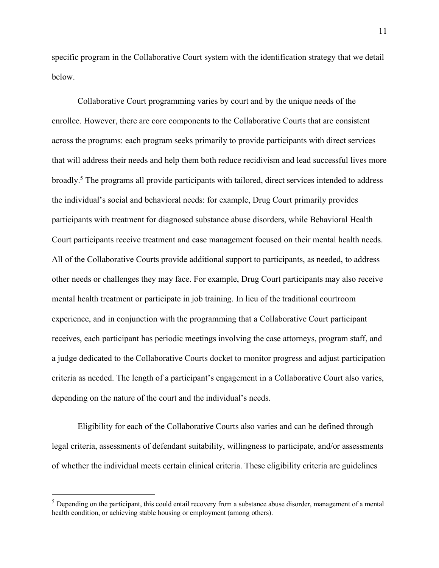specific program in the Collaborative Court system with the identification strategy that we detail below.

Collaborative Court programming varies by court and by the unique needs of the enrollee. However, there are core components to the Collaborative Courts that are consistent across the programs: each program seeks primarily to provide participants with direct services that will address their needs and help them both reduce recidivism and lead successful lives more broadly.5 The programs all provide participants with tailored, direct services intended to address the individual's social and behavioral needs: for example, Drug Court primarily provides participants with treatment for diagnosed substance abuse disorders, while Behavioral Health Court participants receive treatment and case management focused on their mental health needs. All of the Collaborative Courts provide additional support to participants, as needed, to address other needs or challenges they may face. For example, Drug Court participants may also receive mental health treatment or participate in job training. In lieu of the traditional courtroom experience, and in conjunction with the programming that a Collaborative Court participant receives, each participant has periodic meetings involving the case attorneys, program staff, and a judge dedicated to the Collaborative Courts docket to monitor progress and adjust participation criteria as needed. The length of a participant's engagement in a Collaborative Court also varies, depending on the nature of the court and the individual's needs.

Eligibility for each of the Collaborative Courts also varies and can be defined through legal criteria, assessments of defendant suitability, willingness to participate, and/or assessments of whether the individual meets certain clinical criteria. These eligibility criteria are guidelines

 $<sup>5</sup>$  Depending on the participant, this could entail recovery from a substance abuse disorder, management of a mental</sup> health condition, or achieving stable housing or employment (among others).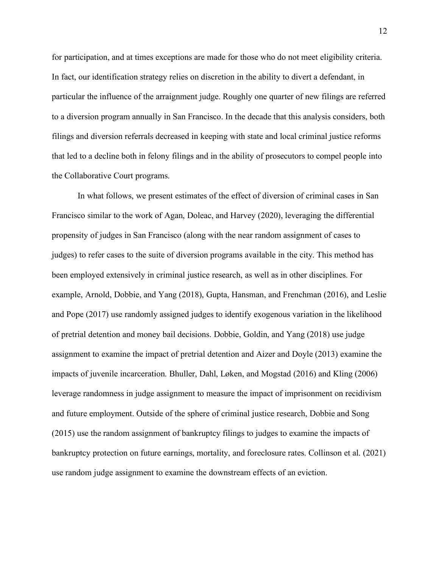for participation, and at times exceptions are made for those who do not meet eligibility criteria. In fact, our identification strategy relies on discretion in the ability to divert a defendant, in particular the influence of the arraignment judge. Roughly one quarter of new filings are referred to a diversion program annually in San Francisco. In the decade that this analysis considers, both filings and diversion referrals decreased in keeping with state and local criminal justice reforms that led to a decline both in felony filings and in the ability of prosecutors to compel people into the Collaborative Court programs.

In what follows, we present estimates of the effect of diversion of criminal cases in San Francisco similar to the work of Agan, Doleac, and Harvey (2020), leveraging the differential propensity of judges in San Francisco (along with the near random assignment of cases to judges) to refer cases to the suite of diversion programs available in the city. This method has been employed extensively in criminal justice research, as well as in other disciplines. For example, Arnold, Dobbie, and Yang (2018), Gupta, Hansman, and Frenchman (2016), and Leslie and Pope (2017) use randomly assigned judges to identify exogenous variation in the likelihood of pretrial detention and money bail decisions. Dobbie, Goldin, and Yang (2018) use judge assignment to examine the impact of pretrial detention and Aizer and Doyle (2013) examine the impacts of juvenile incarceration. Bhuller, Dahl, Løken, and Mogstad (2016) and Kling (2006) leverage randomness in judge assignment to measure the impact of imprisonment on recidivism and future employment. Outside of the sphere of criminal justice research, Dobbie and Song (2015) use the random assignment of bankruptcy filings to judges to examine the impacts of bankruptcy protection on future earnings, mortality, and foreclosure rates. Collinson et al. (2021) use random judge assignment to examine the downstream effects of an eviction.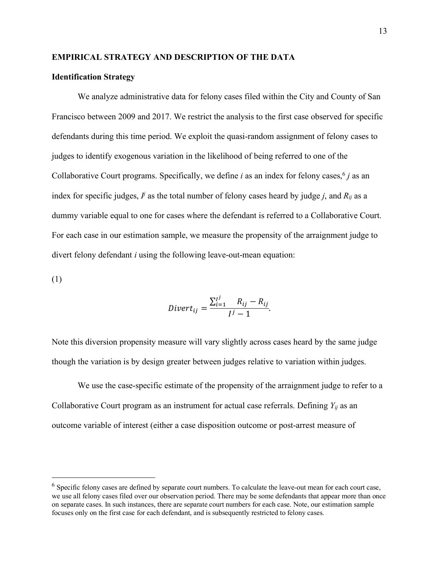#### **EMPIRICAL STRATEGY AND DESCRIPTION OF THE DATA**

#### **Identification Strategy**

We analyze administrative data for felony cases filed within the City and County of San Francisco between 2009 and 2017. We restrict the analysis to the first case observed for specific defendants during this time period. We exploit the quasi-random assignment of felony cases to judges to identify exogenous variation in the likelihood of being referred to one of the Collaborative Court programs. Specifically, we define *i* as an index for felony cases,  $6j$  as an index for specific judges,  $\vec{I}$  as the total number of felony cases heard by judge  $j$ , and  $R_{ij}$  as a dummy variable equal to one for cases where the defendant is referred to a Collaborative Court. For each case in our estimation sample, we measure the propensity of the arraignment judge to divert felony defendant *i* using the following leave-out-mean equation:

(1)

$$
Divert_{ij} = \frac{\sum_{i=1}^{j} R_{ij} - R_{ij}}{j^j - 1}.
$$

Note this diversion propensity measure will vary slightly across cases heard by the same judge though the variation is by design greater between judges relative to variation within judges.

We use the case-specific estimate of the propensity of the arraignment judge to refer to a Collaborative Court program as an instrument for actual case referrals. Defining  $Y_{ij}$  as an outcome variable of interest (either a case disposition outcome or post-arrest measure of

 <sup>6</sup> Specific felony cases are defined by separate court numbers. To calculate the leave-out mean for each court case, we use all felony cases filed over our observation period. There may be some defendants that appear more than once on separate cases. In such instances, there are separate court numbers for each case. Note, our estimation sample focuses only on the first case for each defendant, and is subsequently restricted to felony cases.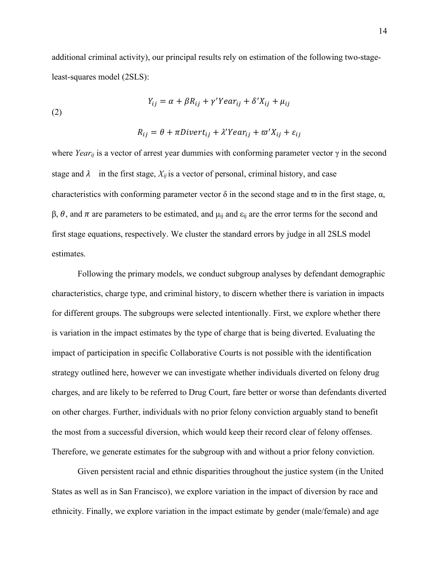additional criminal activity), our principal results rely on estimation of the following two-stageleast-squares model (2SLS):

(2) 
$$
Y_{ij} = \alpha + \beta R_{ij} + \gamma' Y e a r_{ij} + \delta' X_{ij} + \mu_{ij}
$$

$$
R_{ij} = \theta + \pi \text{Divert}_{ij} + \lambda' \text{Year}_{ij} + \varpi' X_{ij} + \varepsilon_{ij}
$$

where *Year<sub>ij</sub>* is a vector of arrest year dummies with conforming parameter vector  $\gamma$  in the second stage and  $\lambda$  in the first stage,  $X_{ij}$  is a vector of personal, criminal history, and case characteristics with conforming parameter vector  $\delta$  in the second stage and  $\sigma$  in the first stage,  $\alpha$ ,  $β$ ,  $θ$ , and  $π$  are parameters to be estimated, and  $μ$ <sub>ij</sub> and  $ε$ <sub>ij</sub> are the error terms for the second and first stage equations, respectively. We cluster the standard errors by judge in all 2SLS model estimates.

Following the primary models, we conduct subgroup analyses by defendant demographic characteristics, charge type, and criminal history, to discern whether there is variation in impacts for different groups. The subgroups were selected intentionally. First, we explore whether there is variation in the impact estimates by the type of charge that is being diverted. Evaluating the impact of participation in specific Collaborative Courts is not possible with the identification strategy outlined here, however we can investigate whether individuals diverted on felony drug charges, and are likely to be referred to Drug Court, fare better or worse than defendants diverted on other charges. Further, individuals with no prior felony conviction arguably stand to benefit the most from a successful diversion, which would keep their record clear of felony offenses. Therefore, we generate estimates for the subgroup with and without a prior felony conviction.

Given persistent racial and ethnic disparities throughout the justice system (in the United States as well as in San Francisco), we explore variation in the impact of diversion by race and ethnicity. Finally, we explore variation in the impact estimate by gender (male/female) and age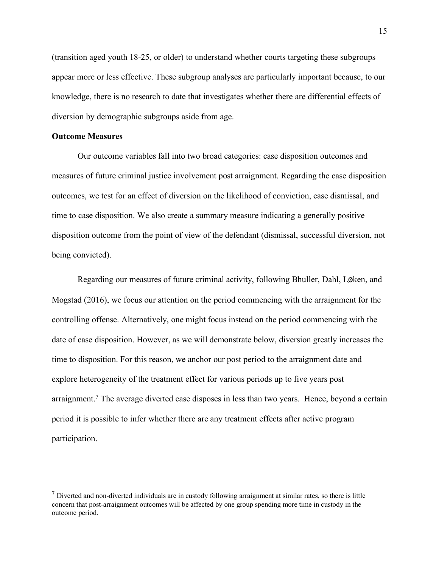(transition aged youth 18-25, or older) to understand whether courts targeting these subgroups appear more or less effective. These subgroup analyses are particularly important because, to our knowledge, there is no research to date that investigates whether there are differential effects of diversion by demographic subgroups aside from age.

#### **Outcome Measures**

Our outcome variables fall into two broad categories: case disposition outcomes and measures of future criminal justice involvement post arraignment. Regarding the case disposition outcomes, we test for an effect of diversion on the likelihood of conviction, case dismissal, and time to case disposition. We also create a summary measure indicating a generally positive disposition outcome from the point of view of the defendant (dismissal, successful diversion, not being convicted).

Regarding our measures of future criminal activity, following Bhuller, Dahl, Løken, and Mogstad (2016), we focus our attention on the period commencing with the arraignment for the controlling offense. Alternatively, one might focus instead on the period commencing with the date of case disposition. However, as we will demonstrate below, diversion greatly increases the time to disposition. For this reason, we anchor our post period to the arraignment date and explore heterogeneity of the treatment effect for various periods up to five years post arraignment.<sup>7</sup> The average diverted case disposes in less than two years. Hence, beyond a certain period it is possible to infer whether there are any treatment effects after active program participation.

 $<sup>7</sup>$  Diverted and non-diverted individuals are in custody following arraignment at similar rates, so there is little</sup> concern that post-arraignment outcomes will be affected by one group spending more time in custody in the outcome period.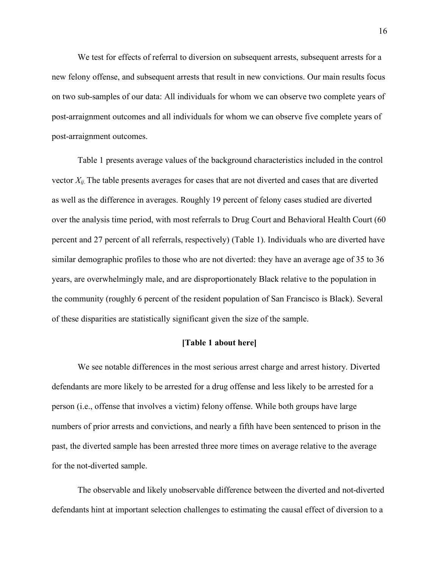We test for effects of referral to diversion on subsequent arrests, subsequent arrests for a new felony offense, and subsequent arrests that result in new convictions. Our main results focus on two sub-samples of our data: All individuals for whom we can observe two complete years of post-arraignment outcomes and all individuals for whom we can observe five complete years of post-arraignment outcomes.

Table 1 presents average values of the background characteristics included in the control vector *Xij*. The table presents averages for cases that are not diverted and cases that are diverted as well as the difference in averages. Roughly 19 percent of felony cases studied are diverted over the analysis time period, with most referrals to Drug Court and Behavioral Health Court (60 percent and 27 percent of all referrals, respectively) (Table 1). Individuals who are diverted have similar demographic profiles to those who are not diverted: they have an average age of 35 to 36 years, are overwhelmingly male, and are disproportionately Black relative to the population in the community (roughly 6 percent of the resident population of San Francisco is Black). Several of these disparities are statistically significant given the size of the sample.

#### **[Table 1 about here]**

We see notable differences in the most serious arrest charge and arrest history. Diverted defendants are more likely to be arrested for a drug offense and less likely to be arrested for a person (i.e., offense that involves a victim) felony offense. While both groups have large numbers of prior arrests and convictions, and nearly a fifth have been sentenced to prison in the past, the diverted sample has been arrested three more times on average relative to the average for the not-diverted sample.

The observable and likely unobservable difference between the diverted and not-diverted defendants hint at important selection challenges to estimating the causal effect of diversion to a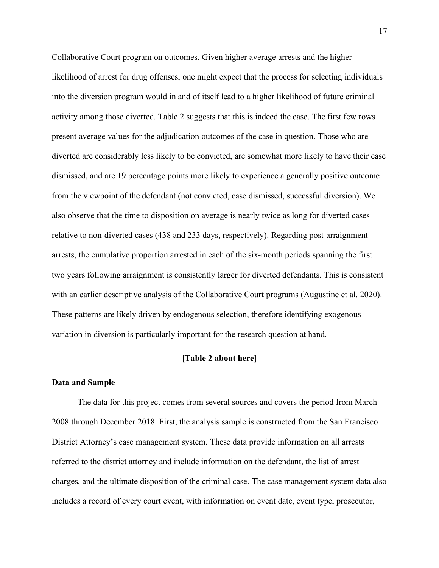Collaborative Court program on outcomes. Given higher average arrests and the higher likelihood of arrest for drug offenses, one might expect that the process for selecting individuals into the diversion program would in and of itself lead to a higher likelihood of future criminal activity among those diverted. Table 2 suggests that this is indeed the case. The first few rows present average values for the adjudication outcomes of the case in question. Those who are diverted are considerably less likely to be convicted, are somewhat more likely to have their case dismissed, and are 19 percentage points more likely to experience a generally positive outcome from the viewpoint of the defendant (not convicted, case dismissed, successful diversion). We also observe that the time to disposition on average is nearly twice as long for diverted cases relative to non-diverted cases (438 and 233 days, respectively). Regarding post-arraignment arrests, the cumulative proportion arrested in each of the six-month periods spanning the first two years following arraignment is consistently larger for diverted defendants. This is consistent with an earlier descriptive analysis of the Collaborative Court programs (Augustine et al. 2020). These patterns are likely driven by endogenous selection, therefore identifying exogenous variation in diversion is particularly important for the research question at hand.

#### **[Table 2 about here]**

#### **Data and Sample**

The data for this project comes from several sources and covers the period from March 2008 through December 2018. First, the analysis sample is constructed from the San Francisco District Attorney's case management system. These data provide information on all arrests referred to the district attorney and include information on the defendant, the list of arrest charges, and the ultimate disposition of the criminal case. The case management system data also includes a record of every court event, with information on event date, event type, prosecutor,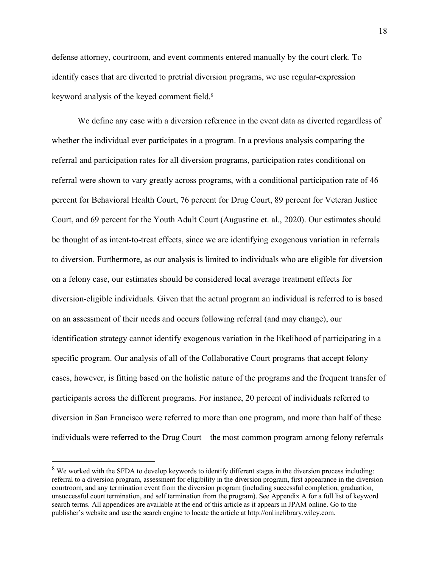defense attorney, courtroom, and event comments entered manually by the court clerk. To identify cases that are diverted to pretrial diversion programs, we use regular-expression keyword analysis of the keyed comment field.8

We define any case with a diversion reference in the event data as diverted regardless of whether the individual ever participates in a program. In a previous analysis comparing the referral and participation rates for all diversion programs, participation rates conditional on referral were shown to vary greatly across programs, with a conditional participation rate of 46 percent for Behavioral Health Court, 76 percent for Drug Court, 89 percent for Veteran Justice Court, and 69 percent for the Youth Adult Court (Augustine et. al., 2020). Our estimates should be thought of as intent-to-treat effects, since we are identifying exogenous variation in referrals to diversion. Furthermore, as our analysis is limited to individuals who are eligible for diversion on a felony case, our estimates should be considered local average treatment effects for diversion-eligible individuals. Given that the actual program an individual is referred to is based on an assessment of their needs and occurs following referral (and may change), our identification strategy cannot identify exogenous variation in the likelihood of participating in a specific program. Our analysis of all of the Collaborative Court programs that accept felony cases, however, is fitting based on the holistic nature of the programs and the frequent transfer of participants across the different programs. For instance, 20 percent of individuals referred to diversion in San Francisco were referred to more than one program, and more than half of these individuals were referred to the Drug Court – the most common program among felony referrals

<sup>&</sup>lt;sup>8</sup> We worked with the SFDA to develop keywords to identify different stages in the diversion process including: referral to a diversion program, assessment for eligibility in the diversion program, first appearance in the diversion courtroom, and any termination event from the diversion program (including successful completion, graduation, unsuccessful court termination, and self termination from the program). See Appendix A for a full list of keyword search terms. All appendices are available at the end of this article as it appears in JPAM online. Go to the publisher's website and use the search engine to locate the article at http://onlinelibrary.wiley.com.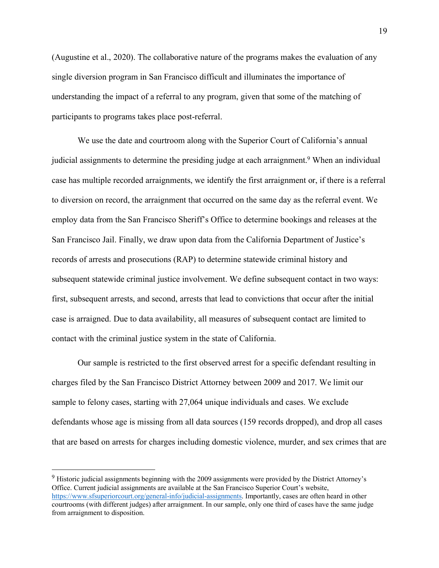(Augustine et al., 2020). The collaborative nature of the programs makes the evaluation of any single diversion program in San Francisco difficult and illuminates the importance of understanding the impact of a referral to any program, given that some of the matching of participants to programs takes place post-referral.

We use the date and courtroom along with the Superior Court of California's annual judicial assignments to determine the presiding judge at each arraignment.<sup>9</sup> When an individual case has multiple recorded arraignments, we identify the first arraignment or, if there is a referral to diversion on record, the arraignment that occurred on the same day as the referral event. We employ data from the San Francisco Sheriff's Office to determine bookings and releases at the San Francisco Jail. Finally, we draw upon data from the California Department of Justice's records of arrests and prosecutions (RAP) to determine statewide criminal history and subsequent statewide criminal justice involvement. We define subsequent contact in two ways: first, subsequent arrests, and second, arrests that lead to convictions that occur after the initial case is arraigned. Due to data availability, all measures of subsequent contact are limited to contact with the criminal justice system in the state of California.

Our sample is restricted to the first observed arrest for a specific defendant resulting in charges filed by the San Francisco District Attorney between 2009 and 2017. We limit our sample to felony cases, starting with 27,064 unique individuals and cases. We exclude defendants whose age is missing from all data sources (159 records dropped), and drop all cases that are based on arrests for charges including domestic violence, murder, and sex crimes that are

<sup>&</sup>lt;sup>9</sup> Historic judicial assignments beginning with the 2009 assignments were provided by the District Attorney's Office. Current judicial assignments are available at the San Francisco Superior Court's website, https://www.sfsuperiorcourt.org/general-info/judicial-assignments. Importantly, cases are often heard in other courtrooms (with different judges) after arraignment. In our sample, only one third of cases have the same judge from arraignment to disposition.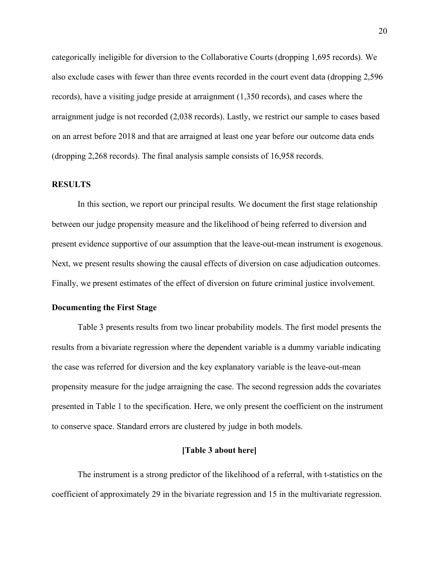categorically ineligible for diversion to the Collaborative Courts (dropping 1,695 records). We also exclude cases with fewer than three events recorded in the court event data (dropping 2,596 records), have a visiting judge preside at arraignment (1,350 records), and cases where the arraignment judge is not recorded (2,038 records). Lastly, we restrict our sample to cases based on an arrest before 2018 and that are arraigned at least one year before our outcome data ends (dropping 2,268 records). The final analysis sample consists of 16,958 records.

#### **RESULTS**

In this section, we report our principal results. We document the first stage relationship between our judge propensity measure and the likelihood of being referred to diversion and present evidence supportive of our assumption that the leave-out-mean instrument is exogenous. Next, we present results showing the causal effects of diversion on case adjudication outcomes. Finally, we present estimates of the effect of diversion on future criminal justice involvement.

# **Documenting the First Stage**

Table 3 presents results from two linear probability models. The first model presents the results from a bivariate regression where the dependent variable is a dummy variable indicating the case was referred for diversion and the key explanatory variable is the leave-out-mean propensity measure for the judge arraigning the case. The second regression adds the covariates presented in Table 1 to the specification. Here, we only present the coefficient on the instrument to conserve space. Standard errors are clustered by judge in both models.

#### **[Table 3 about here]**

The instrument is a strong predictor of the likelihood of a referral, with t-statistics on the coefficient of approximately 29 in the bivariate regression and 15 in the multivariate regression.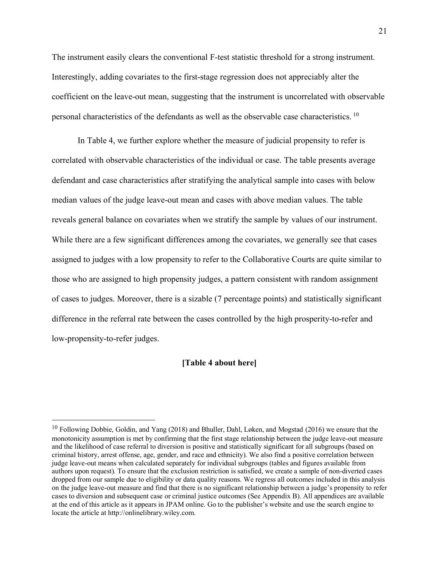The instrument easily clears the conventional F-test statistic threshold for a strong instrument. Interestingly, adding covariates to the first-stage regression does not appreciably alter the coefficient on the leave-out mean, suggesting that the instrument is uncorrelated with observable personal characteristics of the defendants as well as the observable case characteristics. <sup>10</sup>

In Table 4, we further explore whether the measure of judicial propensity to refer is correlated with observable characteristics of the individual or case. The table presents average defendant and case characteristics after stratifying the analytical sample into cases with below median values of the judge leave-out mean and cases with above median values. The table reveals general balance on covariates when we stratify the sample by values of our instrument. While there are a few significant differences among the covariates, we generally see that cases assigned to judges with a low propensity to refer to the Collaborative Courts are quite similar to those who are assigned to high propensity judges, a pattern consistent with random assignment of cases to judges. Moreover, there is a sizable (7 percentage points) and statistically significant difference in the referral rate between the cases controlled by the high prosperity-to-refer and low-propensity-to-refer judges.

#### **[Table 4 about here]**

<sup>&</sup>lt;sup>10</sup> Following Dobbie, Goldin, and Yang (2018) and Bhuller, Dahl, Løken, and Mogstad (2016) we ensure that the monotonicity assumption is met by confirming that the first stage relationship between the judge leave-out measure and the likelihood of case referral to diversion is positive and statistically significant for all subgroups (based on criminal history, arrest offense, age, gender, and race and ethnicity). We also find a positive correlation between judge leave-out means when calculated separately for individual subgroups (tables and figures available from authors upon request). To ensure that the exclusion restriction is satisfied, we create a sample of non-diverted cases dropped from our sample due to eligibility or data quality reasons. We regress all outcomes included in this analysis on the judge leave-out measure and find that there is no significant relationship between a judge's propensity to refer cases to diversion and subsequent case or criminal justice outcomes (See Appendix B). All appendices are available at the end of this article as it appears in JPAM online. Go to the publisher's website and use the search engine to locate the article at http://onlinelibrary.wiley.com.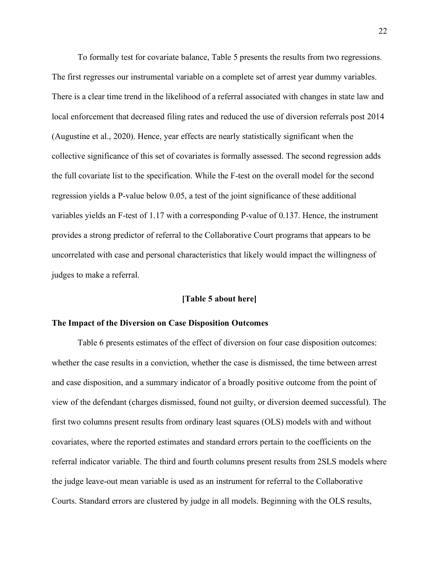To formally test for covariate balance, Table 5 presents the results from two regressions. The first regresses our instrumental variable on a complete set of arrest year dummy variables. There is a clear time trend in the likelihood of a referral associated with changes in state law and local enforcement that decreased filing rates and reduced the use of diversion referrals post 2014 (Augustine et al., 2020). Hence, year effects are nearly statistically significant when the collective significance of this set of covariates is formally assessed. The second regression adds the full covariate list to the specification. While the F-test on the overall model for the second regression yields a P-value below 0.05, a test of the joint significance of these additional variables yields an F-test of 1.17 with a corresponding P-value of 0.137. Hence, the instrument provides a strong predictor of referral to the Collaborative Court programs that appears to be uncorrelated with case and personal characteristics that likely would impact the willingness of judges to make a referral.

#### **[Table 5 about here]**

#### **The Impact of the Diversion on Case Disposition Outcomes**

Table 6 presents estimates of the effect of diversion on four case disposition outcomes: whether the case results in a conviction, whether the case is dismissed, the time between arrest and case disposition, and a summary indicator of a broadly positive outcome from the point of view of the defendant (charges dismissed, found not guilty, or diversion deemed successful). The first two columns present results from ordinary least squares (OLS) models with and without covariates, where the reported estimates and standard errors pertain to the coefficients on the referral indicator variable. The third and fourth columns present results from 2SLS models where the judge leave-out mean variable is used as an instrument for referral to the Collaborative Courts. Standard errors are clustered by judge in all models. Beginning with the OLS results,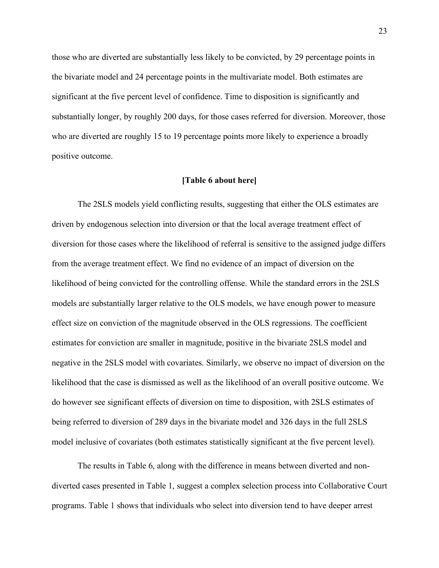those who are diverted are substantially less likely to be convicted, by 29 percentage points in the bivariate model and 24 percentage points in the multivariate model. Both estimates are significant at the five percent level of confidence. Time to disposition is significantly and substantially longer, by roughly 200 days, for those cases referred for diversion. Moreover, those who are diverted are roughly 15 to 19 percentage points more likely to experience a broadly positive outcome.

#### **[Table 6 about here]**

The 2SLS models yield conflicting results, suggesting that either the OLS estimates are driven by endogenous selection into diversion or that the local average treatment effect of diversion for those cases where the likelihood of referral is sensitive to the assigned judge differs from the average treatment effect. We find no evidence of an impact of diversion on the likelihood of being convicted for the controlling offense. While the standard errors in the 2SLS models are substantially larger relative to the OLS models, we have enough power to measure effect size on conviction of the magnitude observed in the OLS regressions. The coefficient estimates for conviction are smaller in magnitude, positive in the bivariate 2SLS model and negative in the 2SLS model with covariates. Similarly, we observe no impact of diversion on the likelihood that the case is dismissed as well as the likelihood of an overall positive outcome. We do however see significant effects of diversion on time to disposition, with 2SLS estimates of being referred to diversion of 289 days in the bivariate model and 326 days in the full 2SLS model inclusive of covariates (both estimates statistically significant at the five percent level).

The results in Table 6, along with the difference in means between diverted and nondiverted cases presented in Table 1, suggest a complex selection process into Collaborative Court programs. Table 1 shows that individuals who select into diversion tend to have deeper arrest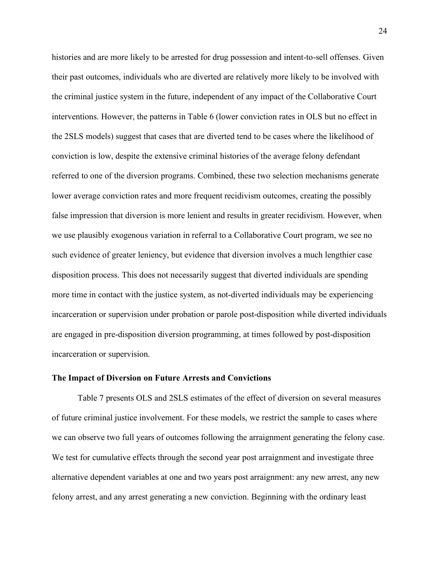histories and are more likely to be arrested for drug possession and intent-to-sell offenses. Given their past outcomes, individuals who are diverted are relatively more likely to be involved with the criminal justice system in the future, independent of any impact of the Collaborative Court interventions. However, the patterns in Table 6 (lower conviction rates in OLS but no effect in the 2SLS models) suggest that cases that are diverted tend to be cases where the likelihood of conviction is low, despite the extensive criminal histories of the average felony defendant referred to one of the diversion programs. Combined, these two selection mechanisms generate lower average conviction rates and more frequent recidivism outcomes, creating the possibly false impression that diversion is more lenient and results in greater recidivism. However, when we use plausibly exogenous variation in referral to a Collaborative Court program, we see no such evidence of greater leniency, but evidence that diversion involves a much lengthier case disposition process. This does not necessarily suggest that diverted individuals are spending more time in contact with the justice system, as not-diverted individuals may be experiencing incarceration or supervision under probation or parole post-disposition while diverted individuals are engaged in pre-disposition diversion programming, at times followed by post-disposition incarceration or supervision.

#### **The Impact of Diversion on Future Arrests and Convictions**

Table 7 presents OLS and 2SLS estimates of the effect of diversion on several measures of future criminal justice involvement. For these models, we restrict the sample to cases where we can observe two full years of outcomes following the arraignment generating the felony case. We test for cumulative effects through the second year post arraignment and investigate three alternative dependent variables at one and two years post arraignment: any new arrest, any new felony arrest, and any arrest generating a new conviction. Beginning with the ordinary least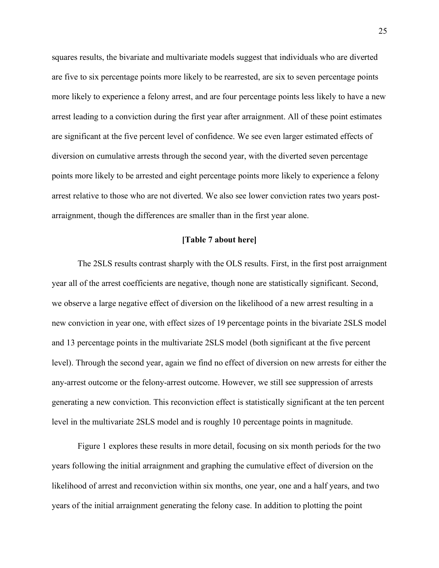squares results, the bivariate and multivariate models suggest that individuals who are diverted are five to six percentage points more likely to be rearrested, are six to seven percentage points more likely to experience a felony arrest, and are four percentage points less likely to have a new arrest leading to a conviction during the first year after arraignment. All of these point estimates are significant at the five percent level of confidence. We see even larger estimated effects of diversion on cumulative arrests through the second year, with the diverted seven percentage points more likely to be arrested and eight percentage points more likely to experience a felony arrest relative to those who are not diverted. We also see lower conviction rates two years postarraignment, though the differences are smaller than in the first year alone.

#### **[Table 7 about here]**

The 2SLS results contrast sharply with the OLS results. First, in the first post arraignment year all of the arrest coefficients are negative, though none are statistically significant. Second, we observe a large negative effect of diversion on the likelihood of a new arrest resulting in a new conviction in year one, with effect sizes of 19 percentage points in the bivariate 2SLS model and 13 percentage points in the multivariate 2SLS model (both significant at the five percent level). Through the second year, again we find no effect of diversion on new arrests for either the any-arrest outcome or the felony-arrest outcome. However, we still see suppression of arrests generating a new conviction. This reconviction effect is statistically significant at the ten percent level in the multivariate 2SLS model and is roughly 10 percentage points in magnitude.

Figure 1 explores these results in more detail, focusing on six month periods for the two years following the initial arraignment and graphing the cumulative effect of diversion on the likelihood of arrest and reconviction within six months, one year, one and a half years, and two years of the initial arraignment generating the felony case. In addition to plotting the point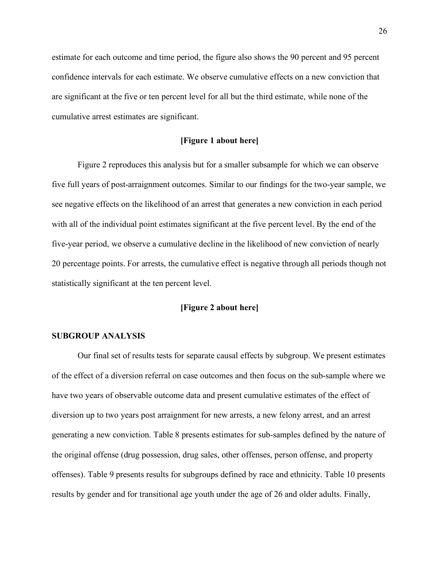estimate for each outcome and time period, the figure also shows the 90 percent and 95 percent confidence intervals for each estimate. We observe cumulative effects on a new conviction that are significant at the five or ten percent level for all but the third estimate, while none of the cumulative arrest estimates are significant.

#### **[Figure 1 about here]**

Figure 2 reproduces this analysis but for a smaller subsample for which we can observe five full years of post-arraignment outcomes. Similar to our findings for the two-year sample, we see negative effects on the likelihood of an arrest that generates a new conviction in each period with all of the individual point estimates significant at the five percent level. By the end of the five-year period, we observe a cumulative decline in the likelihood of new conviction of nearly 20 percentage points. For arrests, the cumulative effect is negative through all periods though not statistically significant at the ten percent level.

# **[Figure 2 about here]**

#### **SUBGROUP ANALYSIS**

Our final set of results tests for separate causal effects by subgroup. We present estimates of the effect of a diversion referral on case outcomes and then focus on the sub-sample where we have two years of observable outcome data and present cumulative estimates of the effect of diversion up to two years post arraignment for new arrests, a new felony arrest, and an arrest generating a new conviction. Table 8 presents estimates for sub-samples defined by the nature of the original offense (drug possession, drug sales, other offenses, person offense, and property offenses). Table 9 presents results for subgroups defined by race and ethnicity. Table 10 presents results by gender and for transitional age youth under the age of 26 and older adults. Finally,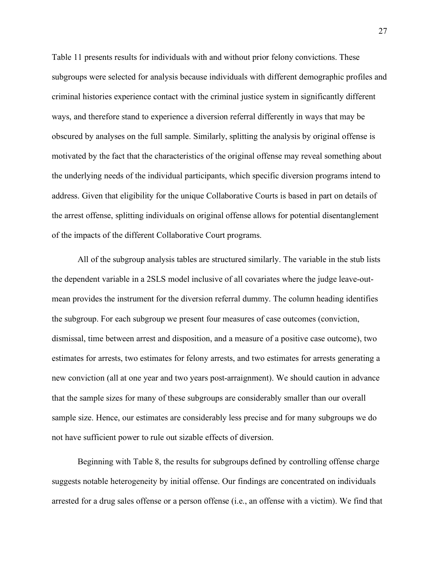Table 11 presents results for individuals with and without prior felony convictions. These subgroups were selected for analysis because individuals with different demographic profiles and criminal histories experience contact with the criminal justice system in significantly different ways, and therefore stand to experience a diversion referral differently in ways that may be obscured by analyses on the full sample. Similarly, splitting the analysis by original offense is motivated by the fact that the characteristics of the original offense may reveal something about the underlying needs of the individual participants, which specific diversion programs intend to address. Given that eligibility for the unique Collaborative Courts is based in part on details of the arrest offense, splitting individuals on original offense allows for potential disentanglement of the impacts of the different Collaborative Court programs.

All of the subgroup analysis tables are structured similarly. The variable in the stub lists the dependent variable in a 2SLS model inclusive of all covariates where the judge leave-outmean provides the instrument for the diversion referral dummy. The column heading identifies the subgroup. For each subgroup we present four measures of case outcomes (conviction, dismissal, time between arrest and disposition, and a measure of a positive case outcome), two estimates for arrests, two estimates for felony arrests, and two estimates for arrests generating a new conviction (all at one year and two years post-arraignment). We should caution in advance that the sample sizes for many of these subgroups are considerably smaller than our overall sample size. Hence, our estimates are considerably less precise and for many subgroups we do not have sufficient power to rule out sizable effects of diversion.

Beginning with Table 8, the results for subgroups defined by controlling offense charge suggests notable heterogeneity by initial offense. Our findings are concentrated on individuals arrested for a drug sales offense or a person offense (i.e., an offense with a victim). We find that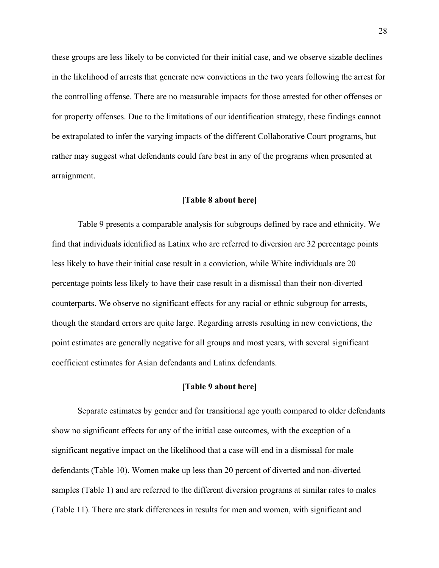these groups are less likely to be convicted for their initial case, and we observe sizable declines in the likelihood of arrests that generate new convictions in the two years following the arrest for the controlling offense. There are no measurable impacts for those arrested for other offenses or for property offenses. Due to the limitations of our identification strategy, these findings cannot be extrapolated to infer the varying impacts of the different Collaborative Court programs, but rather may suggest what defendants could fare best in any of the programs when presented at arraignment.

#### **[Table 8 about here]**

Table 9 presents a comparable analysis for subgroups defined by race and ethnicity. We find that individuals identified as Latinx who are referred to diversion are 32 percentage points less likely to have their initial case result in a conviction, while White individuals are 20 percentage points less likely to have their case result in a dismissal than their non-diverted counterparts. We observe no significant effects for any racial or ethnic subgroup for arrests, though the standard errors are quite large. Regarding arrests resulting in new convictions, the point estimates are generally negative for all groups and most years, with several significant coefficient estimates for Asian defendants and Latinx defendants.

### **[Table 9 about here]**

Separate estimates by gender and for transitional age youth compared to older defendants show no significant effects for any of the initial case outcomes, with the exception of a significant negative impact on the likelihood that a case will end in a dismissal for male defendants (Table 10). Women make up less than 20 percent of diverted and non-diverted samples (Table 1) and are referred to the different diversion programs at similar rates to males (Table 11). There are stark differences in results for men and women, with significant and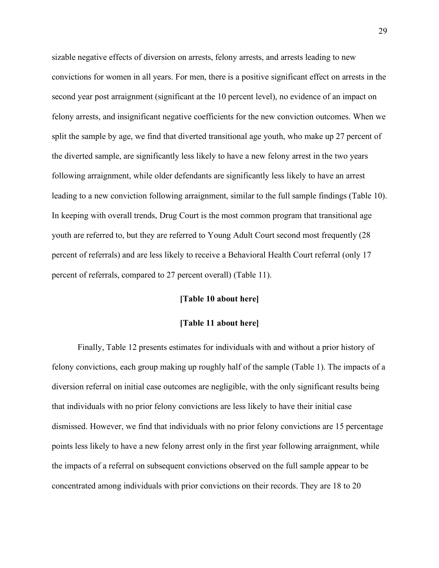sizable negative effects of diversion on arrests, felony arrests, and arrests leading to new convictions for women in all years. For men, there is a positive significant effect on arrests in the second year post arraignment (significant at the 10 percent level), no evidence of an impact on felony arrests, and insignificant negative coefficients for the new conviction outcomes. When we split the sample by age, we find that diverted transitional age youth, who make up 27 percent of the diverted sample, are significantly less likely to have a new felony arrest in the two years following arraignment, while older defendants are significantly less likely to have an arrest leading to a new conviction following arraignment, similar to the full sample findings (Table 10). In keeping with overall trends, Drug Court is the most common program that transitional age youth are referred to, but they are referred to Young Adult Court second most frequently (28 percent of referrals) and are less likely to receive a Behavioral Health Court referral (only 17 percent of referrals, compared to 27 percent overall) (Table 11).

#### **[Table 10 about here]**

#### **[Table 11 about here]**

Finally, Table 12 presents estimates for individuals with and without a prior history of felony convictions, each group making up roughly half of the sample (Table 1). The impacts of a diversion referral on initial case outcomes are negligible, with the only significant results being that individuals with no prior felony convictions are less likely to have their initial case dismissed. However, we find that individuals with no prior felony convictions are 15 percentage points less likely to have a new felony arrest only in the first year following arraignment, while the impacts of a referral on subsequent convictions observed on the full sample appear to be concentrated among individuals with prior convictions on their records. They are 18 to 20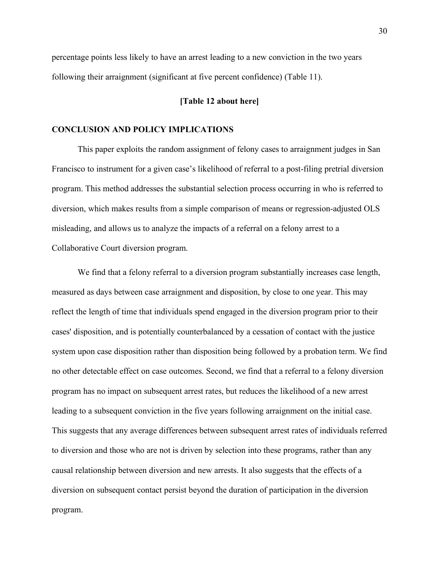percentage points less likely to have an arrest leading to a new conviction in the two years following their arraignment (significant at five percent confidence) (Table 11).

#### **[Table 12 about here]**

#### **CONCLUSION AND POLICY IMPLICATIONS**

This paper exploits the random assignment of felony cases to arraignment judges in San Francisco to instrument for a given case's likelihood of referral to a post-filing pretrial diversion program. This method addresses the substantial selection process occurring in who is referred to diversion, which makes results from a simple comparison of means or regression-adjusted OLS misleading, and allows us to analyze the impacts of a referral on a felony arrest to a Collaborative Court diversion program.

We find that a felony referral to a diversion program substantially increases case length, measured as days between case arraignment and disposition, by close to one year. This may reflect the length of time that individuals spend engaged in the diversion program prior to their cases' disposition, and is potentially counterbalanced by a cessation of contact with the justice system upon case disposition rather than disposition being followed by a probation term. We find no other detectable effect on case outcomes. Second, we find that a referral to a felony diversion program has no impact on subsequent arrest rates, but reduces the likelihood of a new arrest leading to a subsequent conviction in the five years following arraignment on the initial case. This suggests that any average differences between subsequent arrest rates of individuals referred to diversion and those who are not is driven by selection into these programs, rather than any causal relationship between diversion and new arrests. It also suggests that the effects of a diversion on subsequent contact persist beyond the duration of participation in the diversion program.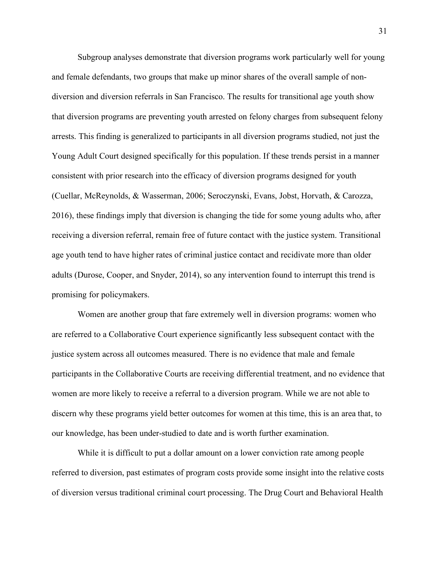Subgroup analyses demonstrate that diversion programs work particularly well for young and female defendants, two groups that make up minor shares of the overall sample of nondiversion and diversion referrals in San Francisco. The results for transitional age youth show that diversion programs are preventing youth arrested on felony charges from subsequent felony arrests. This finding is generalized to participants in all diversion programs studied, not just the Young Adult Court designed specifically for this population. If these trends persist in a manner consistent with prior research into the efficacy of diversion programs designed for youth (Cuellar, McReynolds, & Wasserman, 2006; Seroczynski, Evans, Jobst, Horvath, & Carozza, 2016), these findings imply that diversion is changing the tide for some young adults who, after receiving a diversion referral, remain free of future contact with the justice system. Transitional age youth tend to have higher rates of criminal justice contact and recidivate more than older adults (Durose, Cooper, and Snyder, 2014), so any intervention found to interrupt this trend is promising for policymakers.

Women are another group that fare extremely well in diversion programs: women who are referred to a Collaborative Court experience significantly less subsequent contact with the justice system across all outcomes measured. There is no evidence that male and female participants in the Collaborative Courts are receiving differential treatment, and no evidence that women are more likely to receive a referral to a diversion program. While we are not able to discern why these programs yield better outcomes for women at this time, this is an area that, to our knowledge, has been under-studied to date and is worth further examination.

While it is difficult to put a dollar amount on a lower conviction rate among people referred to diversion, past estimates of program costs provide some insight into the relative costs of diversion versus traditional criminal court processing. The Drug Court and Behavioral Health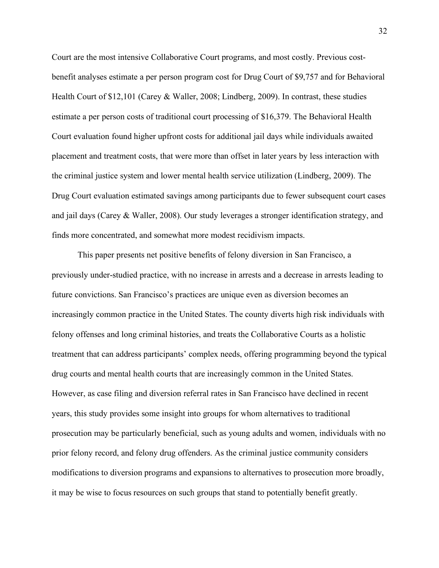Court are the most intensive Collaborative Court programs, and most costly. Previous costbenefit analyses estimate a per person program cost for Drug Court of \$9,757 and for Behavioral Health Court of \$12,101 (Carey & Waller, 2008; Lindberg, 2009). In contrast, these studies estimate a per person costs of traditional court processing of \$16,379. The Behavioral Health Court evaluation found higher upfront costs for additional jail days while individuals awaited placement and treatment costs, that were more than offset in later years by less interaction with the criminal justice system and lower mental health service utilization (Lindberg, 2009). The Drug Court evaluation estimated savings among participants due to fewer subsequent court cases and jail days (Carey & Waller, 2008). Our study leverages a stronger identification strategy, and finds more concentrated, and somewhat more modest recidivism impacts.

This paper presents net positive benefits of felony diversion in San Francisco, a previously under-studied practice, with no increase in arrests and a decrease in arrests leading to future convictions. San Francisco's practices are unique even as diversion becomes an increasingly common practice in the United States. The county diverts high risk individuals with felony offenses and long criminal histories, and treats the Collaborative Courts as a holistic treatment that can address participants' complex needs, offering programming beyond the typical drug courts and mental health courts that are increasingly common in the United States. However, as case filing and diversion referral rates in San Francisco have declined in recent years, this study provides some insight into groups for whom alternatives to traditional prosecution may be particularly beneficial, such as young adults and women, individuals with no prior felony record, and felony drug offenders. As the criminal justice community considers modifications to diversion programs and expansions to alternatives to prosecution more broadly, it may be wise to focus resources on such groups that stand to potentially benefit greatly.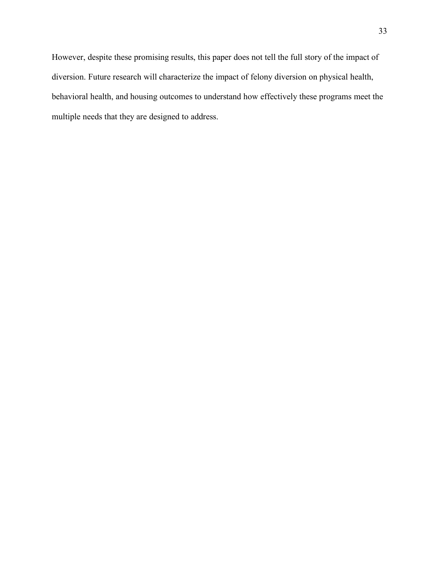However, despite these promising results, this paper does not tell the full story of the impact of diversion. Future research will characterize the impact of felony diversion on physical health, behavioral health, and housing outcomes to understand how effectively these programs meet the multiple needs that they are designed to address.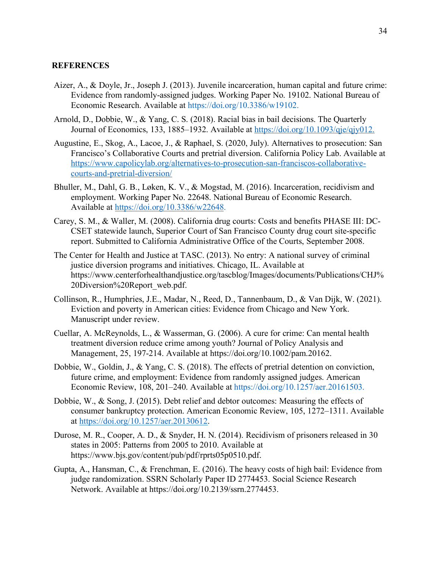#### **REFERENCES**

- Aizer, A., & Doyle, Jr., Joseph J. (2013). Juvenile incarceration, human capital and future crime: Evidence from randomly-assigned judges. Working Paper No. 19102. National Bureau of Economic Research. Available at https://doi.org/10.3386/w19102.
- Arnold, D., Dobbie, W., & Yang, C. S. (2018). Racial bias in bail decisions. The Quarterly Journal of Economics, 133, 1885–1932. Available at https://doi.org/10.1093/qje/qjy012.
- Augustine, E., Skog, A., Lacoe, J., & Raphael, S. (2020, July). Alternatives to prosecution: San Francisco's Collaborative Courts and pretrial diversion. California Policy Lab. Available at https://www.capolicylab.org/alternatives-to-prosecution-san-franciscos-collaborativecourts-and-pretrial-diversion/
- Bhuller, M., Dahl, G. B., Løken, K. V., & Mogstad, M. (2016). Incarceration, recidivism and employment. Working Paper No. 22648. National Bureau of Economic Research. Available at https://doi.org/10.3386/w22648.
- Carey, S. M., & Waller, M. (2008). California drug courts: Costs and benefits PHASE III: DC-CSET statewide launch, Superior Court of San Francisco County drug court site-specific report. Submitted to California Administrative Office of the Courts, September 2008.
- The Center for Health and Justice at TASC. (2013). No entry: A national survey of criminal justice diversion programs and initiatives. Chicago, IL. Available at https://www.centerforhealthandjustice.org/tascblog/Images/documents/Publications/CHJ% 20Diversion%20Report\_web.pdf.
- Collinson, R., Humphries, J.E., Madar, N., Reed, D., Tannenbaum, D., & Van Dijk, W. (2021). Eviction and poverty in American cities: Evidence from Chicago and New York. Manuscript under review.
- Cuellar, A. McReynolds, L., & Wasserman, G. (2006). A cure for crime: Can mental health treatment diversion reduce crime among youth? Journal of Policy Analysis and Management, 25, 197-214. Available at https://doi.org/10.1002/pam.20162.
- Dobbie, W., Goldin, J., & Yang, C. S. (2018). The effects of pretrial detention on conviction, future crime, and employment: Evidence from randomly assigned judges. American Economic Review, 108, 201–240. Available at https://doi.org/10.1257/aer.20161503.
- Dobbie, W., & Song, J. (2015). Debt relief and debtor outcomes: Measuring the effects of consumer bankruptcy protection. American Economic Review, 105, 1272–1311. Available at https://doi.org/10.1257/aer.20130612.
- Durose, M. R., Cooper, A. D., & Snyder, H. N. (2014). Recidivism of prisoners released in 30 states in 2005: Patterns from 2005 to 2010. Available at https://www.bjs.gov/content/pub/pdf/rprts05p0510.pdf.
- Gupta, A., Hansman, C., & Frenchman, E. (2016). The heavy costs of high bail: Evidence from judge randomization. SSRN Scholarly Paper ID 2774453. Social Science Research Network. Available at https://doi.org/10.2139/ssrn.2774453.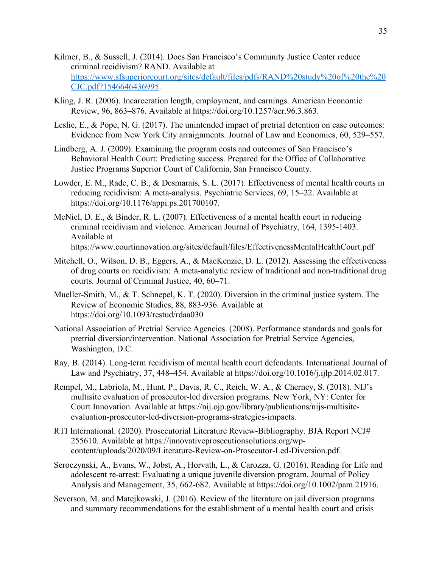- Kilmer, B., & Sussell, J. (2014). Does San Francisco's Community Justice Center reduce criminal recidivism? RAND. Available at https://www.sfsuperiorcourt.org/sites/default/files/pdfs/RAND%20study%20of%20the%20 CJC.pdf?1546646436995.
- Kling, J. R. (2006). Incarceration length, employment, and earnings. American Economic Review, 96, 863–876. Available at https://doi.org/10.1257/aer.96.3.863.
- Leslie, E., & Pope, N. G. (2017). The unintended impact of pretrial detention on case outcomes: Evidence from New York City arraignments. Journal of Law and Economics, 60, 529–557.
- Lindberg, A. J. (2009). Examining the program costs and outcomes of San Francisco's Behavioral Health Court: Predicting success. Prepared for the Office of Collaborative Justice Programs Superior Court of California, San Francisco County.
- Lowder, E. M., Rade, C. B., & Desmarais, S. L. (2017). Effectiveness of mental health courts in reducing recidivism: A meta-analysis. Psychiatric Services, 69, 15–22. Available at https://doi.org/10.1176/appi.ps.201700107.
- McNiel, D. E., & Binder, R. L. (2007). Effectiveness of a mental health court in reducing criminal recidivism and violence. American Journal of Psychiatry, 164, 1395-1403. Available at https://www.courtinnovation.org/sites/default/files/EffectivenessMentalHealthCourt.pdf
- Mitchell, O., Wilson, D. B., Eggers, A., & MacKenzie, D. L. (2012). Assessing the effectiveness of drug courts on recidivism: A meta-analytic review of traditional and non-traditional drug courts. Journal of Criminal Justice, 40, 60–71.
- Mueller-Smith, M., & T. Schnepel, K. T. (2020). Diversion in the criminal justice system. The Review of Economic Studies, 88, 883-936. Available at https://doi.org/10.1093/restud/rdaa030
- National Association of Pretrial Service Agencies. (2008). Performance standards and goals for pretrial diversion/intervention. National Association for Pretrial Service Agencies, Washington, D.C.
- Ray, B. (2014). Long-term recidivism of mental health court defendants. International Journal of Law and Psychiatry, 37, 448–454. Available at https://doi.org/10.1016/j.ijlp.2014.02.017.
- Rempel, M., Labriola, M., Hunt, P., Davis, R. C., Reich, W. A., & Cherney, S. (2018). NIJ's multisite evaluation of prosecutor-led diversion programs. New York, NY: Center for Court Innovation. Available at https://nij.ojp.gov/library/publications/nijs-multisiteevaluation-prosecutor-led-diversion-programs-strategies-impacts.
- RTI International. (2020). Prosecutorial Literature Review-Bibliography. BJA Report NCJ# 255610. Available at https://innovativeprosecutionsolutions.org/wpcontent/uploads/2020/09/Literature-Review-on-Prosecutor-Led-Diversion.pdf.
- Seroczynski, A., Evans, W., Jobst, A., Horvath, L., & Carozza, G. (2016). Reading for Life and adolescent re-arrest: Evaluating a unique juvenile diversion program. Journal of Policy Analysis and Management, 35, 662-682. Available at https://doi.org/10.1002/pam.21916.
- Severson, M. and Matejkowski, J. (2016). Review of the literature on jail diversion programs and summary recommendations for the establishment of a mental health court and crisis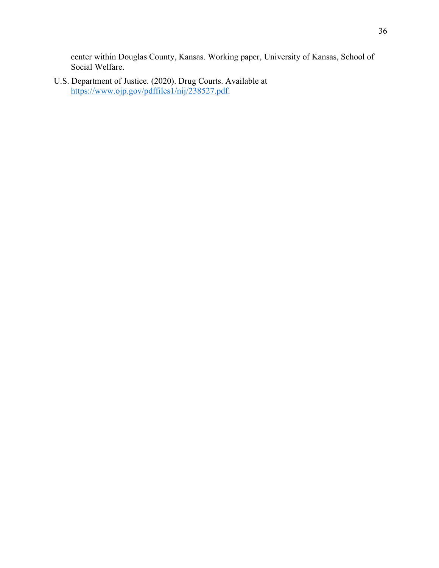center within Douglas County, Kansas. Working paper, University of Kansas, School of Social Welfare.

U.S. Department of Justice. (2020). Drug Courts. Available at https://www.ojp.gov/pdffiles1/nij/238527.pdf.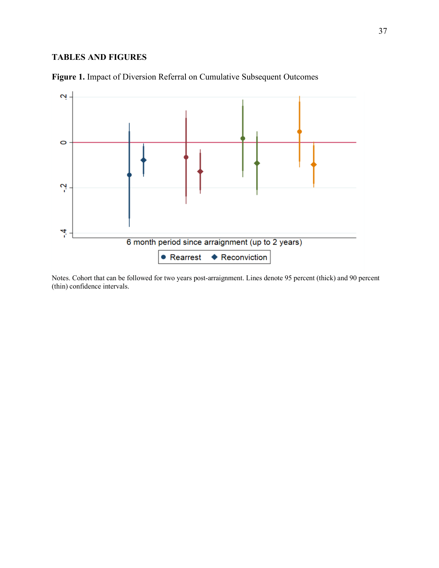# **TABLES AND FIGURES**



**Figure 1.** Impact of Diversion Referral on Cumulative Subsequent Outcomes

Notes. Cohort that can be followed for two years post-arraignment. Lines denote 95 percent (thick) and 90 percent (thin) confidence intervals.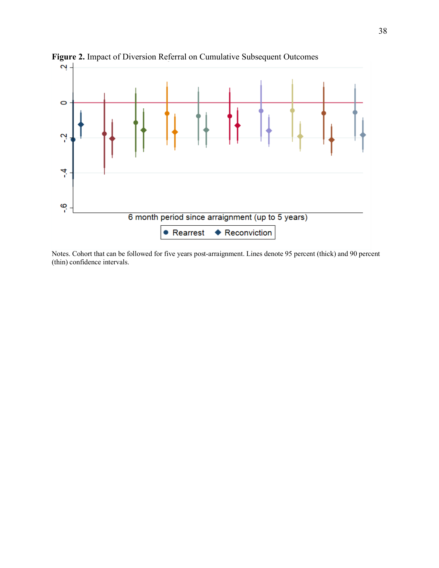

**Figure 2.** Impact of Diversion Referral on Cumulative Subsequent Outcomes

Notes. Cohort that can be followed for five years post-arraignment. Lines denote 95 percent (thick) and 90 percent (thin) confidence intervals.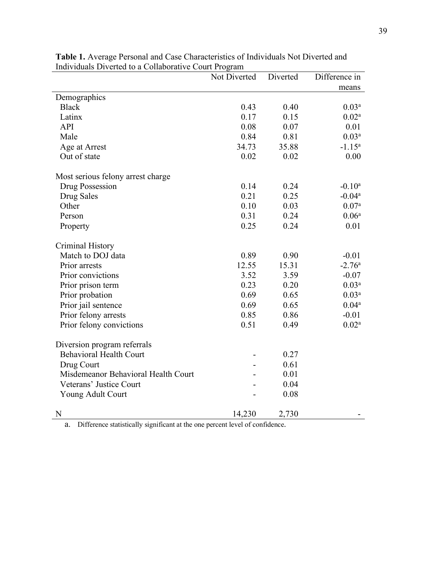|                                     | Not Diverted | Diverted | Difference in     |
|-------------------------------------|--------------|----------|-------------------|
|                                     |              |          | means             |
| Demographics                        |              |          |                   |
| <b>Black</b>                        | 0.43         | 0.40     | 0.03 <sup>a</sup> |
| Latinx                              | 0.17         | 0.15     | 0.02 <sup>a</sup> |
| <b>API</b>                          | 0.08         | 0.07     | 0.01              |
| Male                                | 0.84         | 0.81     | 0.03 <sup>a</sup> |
| Age at Arrest                       | 34.73        | 35.88    | $-1.15^a$         |
| Out of state                        | 0.02         | 0.02     | 0.00              |
| Most serious felony arrest charge   |              |          |                   |
| Drug Possession                     | 0.14         | 0.24     | $-0.10^a$         |
| Drug Sales                          | 0.21         | 0.25     | $-0.04a$          |
| Other                               | 0.10         | 0.03     | 0.07 <sup>a</sup> |
| Person                              | 0.31         | 0.24     | 0.06 <sup>a</sup> |
| Property                            | 0.25         | 0.24     | 0.01              |
| Criminal History                    |              |          |                   |
| Match to DOJ data                   | 0.89         | 0.90     | $-0.01$           |
| Prior arrests                       | 12.55        | 15.31    | $-2.76a$          |
| Prior convictions                   | 3.52         | 3.59     | $-0.07$           |
| Prior prison term                   | 0.23         | 0.20     | 0.03 <sup>a</sup> |
| Prior probation                     | 0.69         | 0.65     | 0.03 <sup>a</sup> |
| Prior jail sentence                 | 0.69         | 0.65     | $0.04^{a}$        |
| Prior felony arrests                | 0.85         | 0.86     | $-0.01$           |
| Prior felony convictions            | 0.51         | 0.49     | 0.02 <sup>a</sup> |
| Diversion program referrals         |              |          |                   |
| <b>Behavioral Health Court</b>      |              | 0.27     |                   |
| Drug Court                          |              | 0.61     |                   |
| Misdemeanor Behavioral Health Court |              | 0.01     |                   |
| Veterans' Justice Court             |              | 0.04     |                   |
| Young Adult Court                   |              | 0.08     |                   |
| N                                   | 14,230       | 2,730    |                   |

**Table 1.** Average Personal and Case Characteristics of Individuals Not Diverted and Individuals Diverted to a Collaborative Court Program

a. Difference statistically significant at the one percent level of confidence.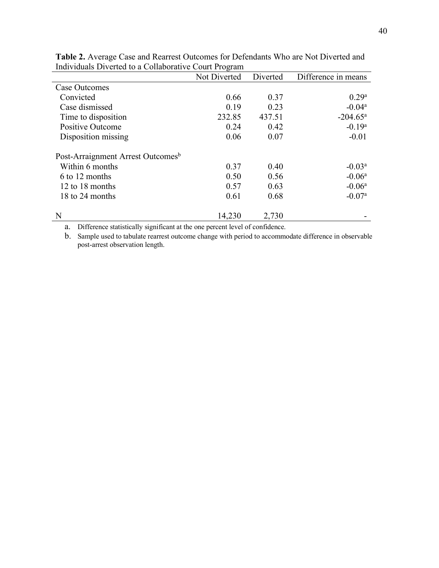| marvidads Diverted to a Conaborative Court Flogram |              |          |                      |
|----------------------------------------------------|--------------|----------|----------------------|
|                                                    | Not Diverted | Diverted | Difference in means  |
| Case Outcomes                                      |              |          |                      |
| Convicted                                          | 0.66         | 0.37     | 0.29 <sup>a</sup>    |
| Case dismissed                                     | 0.19         | 0.23     | $-0.04a$             |
| Time to disposition                                | 232.85       | 437.51   | $-204.65^{\text{a}}$ |
| Positive Outcome                                   | 0.24         | 0.42     | $-0.19a$             |
| Disposition missing                                | 0.06         | 0.07     | $-0.01$              |
| Post-Arraignment Arrest Outcomes <sup>b</sup>      |              |          |                      |
| Within 6 months                                    | 0.37         | 0.40     | $-0.03a$             |
| 6 to 12 months                                     | 0.50         | 0.56     | $-0.06a$             |
| 12 to 18 months                                    | 0.57         | 0.63     | $-0.06a$             |
| 18 to 24 months                                    | 0.61         | 0.68     | $-0.07a$             |
| N                                                  | 14,230       | 2,730    |                      |

**Table 2.** Average Case and Rearrest Outcomes for Defendants Who are Not Diverted and Individuals Diverted to a Collaborative Court Program

a. Difference statistically significant at the one percent level of confidence.

b. Sample used to tabulate rearrest outcome change with period to accommodate difference in observable post-arrest observation length.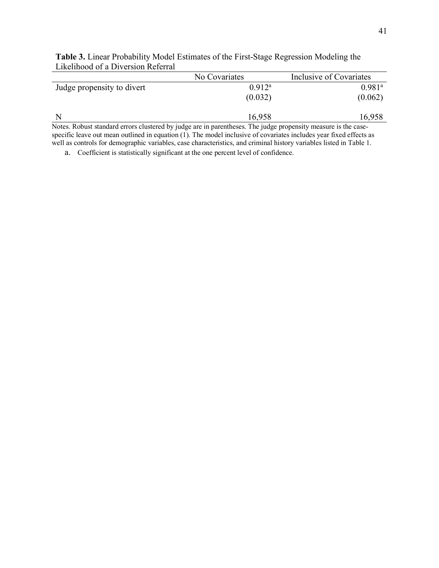|                                                                                                             | No Covariates | Inclusive of Covariates |
|-------------------------------------------------------------------------------------------------------------|---------------|-------------------------|
| Judge propensity to divert                                                                                  | $0.912^a$     | $0.981$ <sup>a</sup>    |
|                                                                                                             | (0.032)       | (0.062)                 |
| N                                                                                                           | 16,958        | 16,958                  |
| Notes, Debust standard every elustered by urdea are in november of The urdea proponsity measure is the eggs |               |                         |

**Table 3.** Linear Probability Model Estimates of the First-Stage Regression Modeling the Likelihood of a Diversion Referral

Notes. Robust standard errors clustered by judge are in parentheses. The judge propensity measure is the casespecific leave out mean outlined in equation (1). The model inclusive of covariates includes year fixed effects as well as controls for demographic variables, case characteristics, and criminal history variables listed in Table 1.

a. Coefficient is statistically significant at the one percent level of confidence.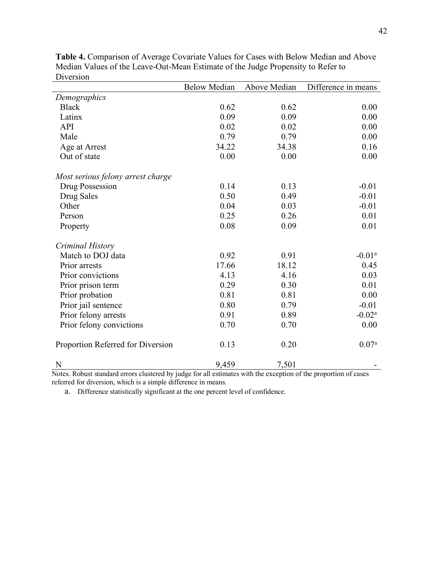|                                   | <b>Below Median</b> | Above Median | Difference in means |
|-----------------------------------|---------------------|--------------|---------------------|
| Demographics                      |                     |              |                     |
| <b>Black</b>                      | 0.62                | 0.62         | 0.00                |
| Latinx                            | 0.09                | 0.09         | 0.00                |
| API                               | 0.02                | 0.02         | 0.00                |
| Male                              | 0.79                | 0.79         | 0.00                |
| Age at Arrest                     | 34.22               | 34.38        | 0.16                |
| Out of state                      | 0.00                | 0.00         | 0.00                |
| Most serious felony arrest charge |                     |              |                     |
| Drug Possession                   | 0.14                | 0.13         | $-0.01$             |
| Drug Sales                        | 0.50                | 0.49         | $-0.01$             |
| Other                             | 0.04                | 0.03         | $-0.01$             |
| Person                            | 0.25                | 0.26         | 0.01                |
| Property                          | 0.08                | 0.09         | 0.01                |
| Criminal History                  |                     |              |                     |
| Match to DOJ data                 | 0.92                | 0.91         | $-0.01a$            |
| Prior arrests                     | 17.66               | 18.12        | 0.45                |
| Prior convictions                 | 4.13                | 4.16         | 0.03                |
| Prior prison term                 | 0.29                | 0.30         | 0.01                |
| Prior probation                   | 0.81                | 0.81         | 0.00                |
| Prior jail sentence               | 0.80                | 0.79         | $-0.01$             |
| Prior felony arrests              | 0.91                | 0.89         | $-0.02a$            |
| Prior felony convictions          | 0.70                | 0.70         | 0.00                |
| Proportion Referred for Diversion | 0.13                | 0.20         | 0.07 <sup>a</sup>   |
| N                                 | 9,459               | 7,501        |                     |

**Table 4.** Comparison of Average Covariate Values for Cases with Below Median and Above Median Values of the Leave-Out-Mean Estimate of the Judge Propensity to Refer to Diversion

Notes. Robust standard errors clustered by judge for all estimates with the exception of the proportion of cases referred for diversion, which is a simple difference in means.

a. Difference statistically significant at the one percent level of confidence.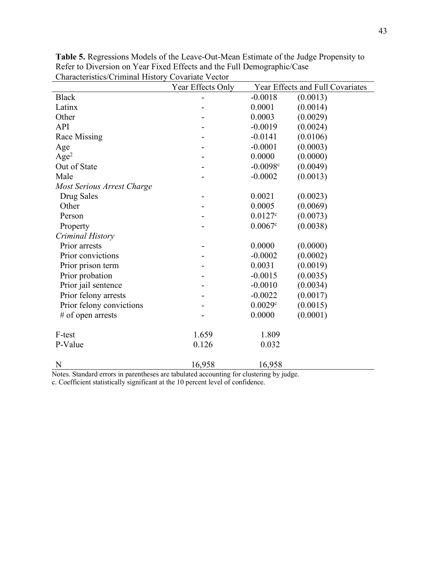| Characteristics/Criminal Tristoly | Covarian vector<br>Year Effects Only |            | Year Effects and Full Covariates |
|-----------------------------------|--------------------------------------|------------|----------------------------------|
| <b>Black</b>                      |                                      | $-0.0018$  | (0.0013)                         |
| Latinx                            |                                      | 0.0001     | (0.0014)                         |
| Other                             |                                      | 0.0003     | (0.0029)                         |
| <b>API</b>                        |                                      | $-0.0019$  | (0.0024)                         |
| Race Missing                      |                                      | $-0.0141$  | (0.0106)                         |
| Age                               |                                      | $-0.0001$  | (0.0003)                         |
| Age <sup>2</sup>                  |                                      | 0.0000     | (0.0000)                         |
| Out of State                      |                                      | $-0.0098c$ | (0.0049)                         |
| Male                              |                                      | $-0.0002$  | (0.0013)                         |
| Most Serious Arrest Charge        |                                      |            |                                  |
| Drug Sales                        |                                      | 0.0021     | (0.0023)                         |
| Other                             |                                      | 0.0005     | (0.0069)                         |
| Person                            |                                      | 0.0127c    | (0.0073)                         |
| Property                          |                                      | 0.0067c    | (0.0038)                         |
| Criminal History                  |                                      |            |                                  |
| Prior arrests                     |                                      | 0.0000     | (0.0000)                         |
| Prior convictions                 |                                      | $-0.0002$  | (0.0002)                         |
| Prior prison term                 |                                      | 0.0031     | (0.0019)                         |
| Prior probation                   |                                      | $-0.0015$  | (0.0035)                         |
| Prior jail sentence               |                                      | $-0.0010$  | (0.0034)                         |
| Prior felony arrests              |                                      | $-0.0022$  | (0.0017)                         |
| Prior felony convictions          |                                      | 0.0029c    | (0.0015)                         |
| $#$ of open arrests               |                                      | 0.0000     | (0.0001)                         |
| F-test                            | 1.659                                | 1.809      |                                  |
| P-Value                           | 0.126                                | 0.032      |                                  |
| N                                 | 16,958                               | 16,958     |                                  |

**Table 5.** Regressions Models of the Leave-Out-Mean Estimate of the Judge Propensity to Refer to Diversion on Year Fixed Effects and the Full Demographic/Case Characteristics/Criminal History Covariate Vector

Notes. Standard errors in parentheses are tabulated accounting for clustering by judge.

c. Coefficient statistically significant at the 10 percent level of confidence.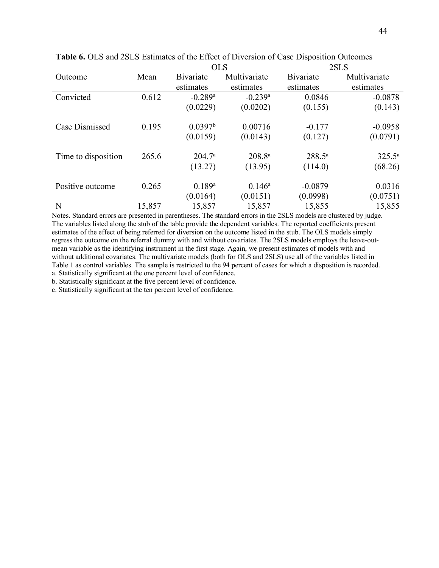|                     |        | <b>OLS</b>            |                       |             | 2SLS         |
|---------------------|--------|-----------------------|-----------------------|-------------|--------------|
| Outcome             | Mean   | <b>B</b> ivariate     | Multivariate          | Bivariate   | Multivariate |
|                     |        | estimates             | estimates             | estimates   | estimates    |
| Convicted           | 0.612  | $-0.289$ <sup>a</sup> | $-0.239$ <sup>a</sup> | 0.0846      | $-0.0878$    |
|                     |        | (0.0229)              | (0.0202)              | (0.155)     | (0.143)      |
| Case Dismissed      | 0.195  | 0.0397 <sup>b</sup>   | 0.00716               | $-0.177$    | $-0.0958$    |
|                     |        | (0.0159)              | (0.0143)              | (0.127)     | (0.0791)     |
| Time to disposition | 265.6  | 204.7 <sup>a</sup>    | $208.8^{a}$           | $288.5^{a}$ | $325.5^a$    |
|                     |        | (13.27)               | (13.95)               | (114.0)     | (68.26)      |
| Positive outcome    | 0.265  | 0.189a                | $0.146^a$             | $-0.0879$   | 0.0316       |
|                     |        | (0.0164)              | (0.0151)              | (0.0998)    | (0.0751)     |
| N                   | 15,857 | 15,857                | 15,857                | 15,855      | 15,855       |

**Table 6.** OLS and 2SLS Estimates of the Effect of Diversion of Case Disposition Outcomes

Notes. Standard errors are presented in parentheses. The standard errors in the 2SLS models are clustered by judge. The variables listed along the stub of the table provide the dependent variables. The reported coefficients present estimates of the effect of being referred for diversion on the outcome listed in the stub. The OLS models simply regress the outcome on the referral dummy with and without covariates. The 2SLS models employs the leave-outmean variable as the identifying instrument in the first stage. Again, we present estimates of models with and without additional covariates. The multivariate models (both for OLS and 2SLS) use all of the variables listed in Table 1 as control variables. The sample is restricted to the 94 percent of cases for which a disposition is recorded. a. Statistically significant at the one percent level of confidence.

b. Statistically significant at the five percent level of confidence.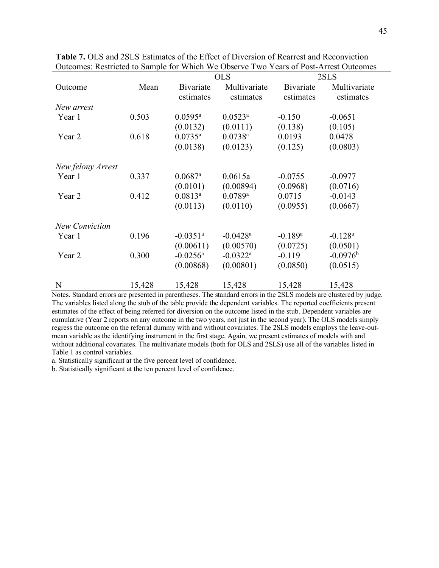|                       |        |                        | <b>OLS</b>             |                       | 2SLS                  |
|-----------------------|--------|------------------------|------------------------|-----------------------|-----------------------|
| Outcome               | Mean   | <b>B</b> ivariate      | Multivariate           | <b>B</b> ivariate     | Multivariate          |
|                       |        | estimates              | estimates              | estimates             | estimates             |
| New arrest            |        |                        |                        |                       |                       |
| Year 1                | 0.503  | $0.0595^{\rm a}$       | $0.0523^a$             | $-0.150$              | $-0.0651$             |
|                       |        | (0.0132)               | (0.0111)               | (0.138)               | (0.105)               |
| Year 2                | 0.618  | $0.0735^{\rm a}$       | $0.0738$ <sup>a</sup>  | 0.0193                | 0.0478                |
|                       |        | (0.0138)               | (0.0123)               | (0.125)               | (0.0803)              |
|                       |        |                        |                        |                       |                       |
| New felony Arrest     |        |                        |                        |                       |                       |
| Year 1                | 0.337  | $0.0687$ <sup>a</sup>  | 0.0615a                | $-0.0755$             | $-0.0977$             |
|                       |        | (0.0101)               | (0.00894)              | (0.0968)              | (0.0716)              |
| Year 2                | 0.412  | $0.0813^a$             | $0.0789$ <sup>a</sup>  | 0.0715                | $-0.0143$             |
|                       |        | (0.0113)               | (0.0110)               | (0.0955)              | (0.0667)              |
|                       |        |                        |                        |                       |                       |
| <b>New Conviction</b> |        |                        |                        |                       |                       |
| Year 1                | 0.196  | $-0.0351$ <sup>a</sup> | $-0.0428$ <sup>a</sup> | $-0.189$ <sup>a</sup> | $-0.128$ <sup>a</sup> |
|                       |        | (0.00611)              | (0.00570)              | (0.0725)              | (0.0501)              |
| Year 2                | 0.300  | $-0.0256$ <sup>a</sup> | $-0.0322$ <sup>a</sup> | $-0.119$              | $-0.0976^{\rm b}$     |
|                       |        | (0.00868)              | (0.00801)              | (0.0850)              | (0.0515)              |
|                       |        |                        |                        |                       |                       |
| N                     | 15,428 | 15,428                 | 15,428                 | 15,428                | 15,428                |

**Table 7.** OLS and 2SLS Estimates of the Effect of Diversion of Rearrest and Reconviction Outcomes: Restricted to Sample for Which We Observe Two Years of Post-Arrest Outcomes

Notes. Standard errors are presented in parentheses. The standard errors in the 2SLS models are clustered by judge. The variables listed along the stub of the table provide the dependent variables. The reported coefficients present estimates of the effect of being referred for diversion on the outcome listed in the stub. Dependent variables are cumulative (Year 2 reports on any outcome in the two years, not just in the second year). The OLS models simply regress the outcome on the referral dummy with and without covariates. The 2SLS models employs the leave-outmean variable as the identifying instrument in the first stage. Again, we present estimates of models with and without additional covariates. The multivariate models (both for OLS and 2SLS) use all of the variables listed in Table 1 as control variables.

a. Statistically significant at the five percent level of confidence.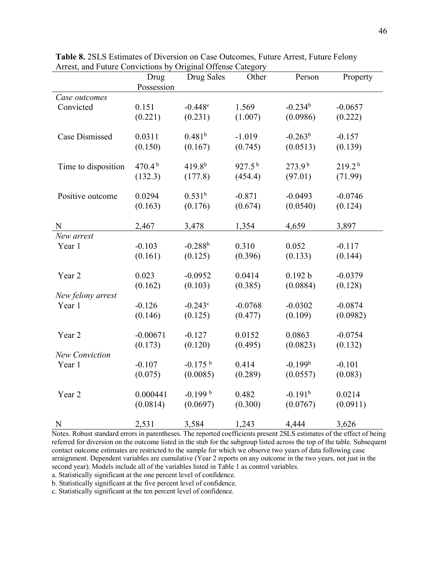|                     | Drug               | Drug Sales         | Other       | Person             | Property           |
|---------------------|--------------------|--------------------|-------------|--------------------|--------------------|
|                     | Possession         |                    |             |                    |                    |
| Case outcomes       |                    |                    |             |                    |                    |
| Convicted           | 0.151              | $-0.448c$          | 1.569       | $-0.234b$          | $-0.0657$          |
|                     | (0.221)            | (0.231)            | (1.007)     | (0.0986)           | (0.222)            |
|                     |                    |                    |             |                    |                    |
| Case Dismissed      | 0.0311             | 0.481 <sup>b</sup> | $-1.019$    | $-0.263^{b}$       | $-0.157$           |
|                     | (0.150)            | (0.167)            | (0.745)     | (0.0513)           | (0.139)            |
|                     |                    |                    |             |                    |                    |
| Time to disposition | 470.4 <sup>b</sup> | $419.8^{b}$        | $927.5^{b}$ | 273.9 <sup>b</sup> | 219.2 <sup>b</sup> |
|                     | (132.3)            | (177.8)            | (454.4)     | (97.01)            | (71.99)            |
| Positive outcome    | 0.0294             | 0.531 <sup>b</sup> | $-0.871$    | $-0.0493$          | $-0.0746$          |
|                     | (0.163)            | (0.176)            | (0.674)     | (0.0540)           | (0.124)            |
|                     |                    |                    |             |                    |                    |
| N                   | 2,467              | 3,478              | 1,354       | 4,659              | 3,897              |
| New arrest          |                    |                    |             |                    |                    |
| Year 1              | $-0.103$           | $-0.288b$          | 0.310       | 0.052              | $-0.117$           |
|                     | (0.161)            | (0.125)            | (0.396)     | (0.133)            | (0.144)            |
|                     |                    |                    |             |                    |                    |
| Year 2              | 0.023              | $-0.0952$          | 0.0414      | 0.192 b            | $-0.0379$          |
|                     | (0.162)            | (0.103)            | (0.385)     | (0.0884)           | (0.128)            |
| New felony arrest   |                    |                    |             |                    |                    |
| Year 1              | $-0.126$           | $-0.243c$          | $-0.0768$   | $-0.0302$          | $-0.0874$          |
|                     | (0.146)            | (0.125)            | (0.477)     | (0.109)            | (0.0982)           |
|                     |                    |                    |             |                    |                    |
| Year 2              | $-0.00671$         | $-0.127$           | 0.0152      | 0.0863             | $-0.0754$          |
|                     | (0.173)            | (0.120)            | (0.495)     | (0.0823)           | (0.132)            |
| New Conviction      | $-0.107$           | $-0.175$ b         | 0.414       | $-0.199b$          | $-0.101$           |
| Year 1              |                    |                    |             |                    |                    |
|                     | (0.075)            | (0.0085)           | (0.289)     | (0.0557)           | (0.083)            |
| Year 2              | 0.000441           | $-0.199$ b         | 0.482       | $-0.191b$          | 0.0214             |
|                     | (0.0814)           | (0.0697)           | (0.300)     | (0.0767)           | (0.0911)           |
|                     |                    |                    |             |                    |                    |
| N                   | 2,531              | 3,584              | 1,243       | 4,444              | 3,626              |

**Table 8.** 2SLS Estimates of Diversion on Case Outcomes, Future Arrest, Future Felony Arrest, and Future Convictions by Original Offense Category

Notes. Robust standard errors in parentheses. The reported coefficients present 2SLS estimates of the effect of being referred for diversion on the outcome listed in the stub for the subgroup listed across the top of the table. Subsequent contact outcome estimates are restricted to the sample for which we observe two years of data following case arraignment. Dependent variables are cumulative (Year 2 reports on any outcome in the two years, not just in the second year). Models include all of the variables listed in Table 1 as control variables.

a. Statistically significant at the one percent level of confidence.

b. Statistically significant at the five percent level of confidence.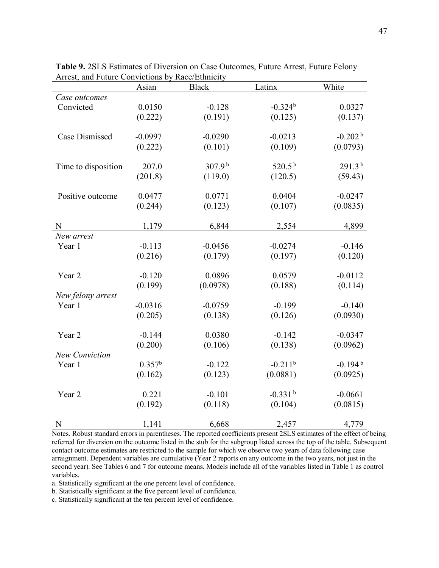|                     | Asian              | <b>Black</b>       | Latinx                | White              |
|---------------------|--------------------|--------------------|-----------------------|--------------------|
| Case outcomes       |                    |                    |                       |                    |
| Convicted           | 0.0150             | $-0.128$           | $-0.324b$             | 0.0327             |
|                     | (0.222)            | (0.191)            | (0.125)               | (0.137)            |
|                     |                    |                    |                       |                    |
| Case Dismissed      | $-0.0997$          | $-0.0290$          | $-0.0213$             | $-0.202b$          |
|                     | (0.222)            | (0.101)            | (0.109)               | (0.0793)           |
|                     |                    | 307.9 <sup>b</sup> | 520.5 $^{\rm b}$      | 291.3 <sup>b</sup> |
| Time to disposition | 207.0              |                    |                       |                    |
|                     | (201.8)            | (119.0)            | (120.5)               | (59.43)            |
| Positive outcome    | 0.0477             | 0.0771             | 0.0404                | $-0.0247$          |
|                     | (0.244)            | (0.123)            | (0.107)               | (0.0835)           |
|                     |                    |                    |                       |                    |
| N                   | 1,179              | 6,844              | 2,554                 | 4,899              |
| New arrest          |                    |                    |                       |                    |
| Year 1              | $-0.113$           | $-0.0456$          | $-0.0274$             | $-0.146$           |
|                     | (0.216)            | (0.179)            | (0.197)               | (0.120)            |
|                     |                    |                    |                       |                    |
| Year 2              | $-0.120$           | 0.0896             | 0.0579                | $-0.0112$          |
|                     | (0.199)            | (0.0978)           | (0.188)               | (0.114)            |
| New felony arrest   |                    |                    |                       |                    |
| Year 1              | $-0.0316$          | $-0.0759$          | $-0.199$              | $-0.140$           |
|                     | (0.205)            | (0.138)            | (0.126)               | (0.0930)           |
| Year 2              | $-0.144$           | 0.0380             | $-0.142$              | $-0.0347$          |
|                     | (0.200)            | (0.106)            | (0.138)               | (0.0962)           |
| New Conviction      |                    |                    |                       |                    |
| Year 1              | 0.357 <sup>b</sup> | $-0.122$           | $-0.211$ <sup>b</sup> | $-0.194b$          |
|                     | (0.162)            | (0.123)            | (0.0881)              | (0.0925)           |
|                     |                    |                    |                       |                    |
| Year 2              | 0.221              | $-0.101$           | $-0.331b$             | $-0.0661$          |
|                     | (0.192)            | (0.118)            | (0.104)               | (0.0815)           |
|                     |                    |                    |                       |                    |
| $\mathbf N$         | 1,141              | 6,668              | 2,457                 | 4,779              |

**Table 9.** 2SLS Estimates of Diversion on Case Outcomes, Future Arrest, Future Felony Arrest, and Future Convictions by Race/Ethnicity

Notes. Robust standard errors in parentheses. The reported coefficients present 2SLS estimates of the effect of being referred for diversion on the outcome listed in the stub for the subgroup listed across the top of the table. Subsequent contact outcome estimates are restricted to the sample for which we observe two years of data following case arraignment. Dependent variables are cumulative (Year 2 reports on any outcome in the two years, not just in the second year). See Tables 6 and 7 for outcome means. Models include all of the variables listed in Table 1 as control variables.

a. Statistically significant at the one percent level of confidence.

b. Statistically significant at the five percent level of confidence.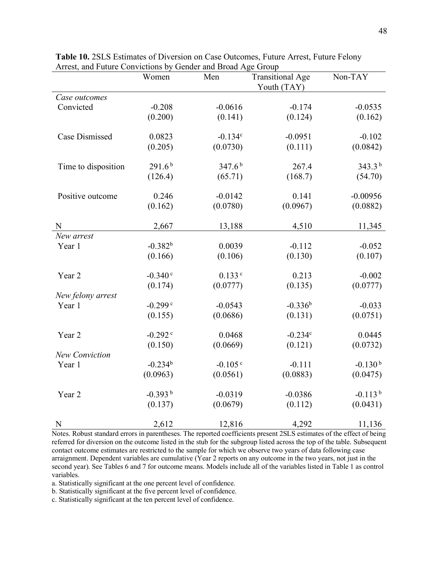| $\frac{1}{2}$ and $\frac{1}{2}$ convictions $\frac{1}{2}$ | Women                 | $\frac{1}{2}$ and $\frac{1}{2}$ $\frac{1}{2}$ $\frac{1}{2}$ $\frac{1}{2}$ $\frac{1}{2}$ $\frac{1}{2}$<br>Men | <b>Transitional Age</b><br>Youth (TAY) | Non-TAY      |
|-----------------------------------------------------------|-----------------------|--------------------------------------------------------------------------------------------------------------|----------------------------------------|--------------|
| Case outcomes                                             |                       |                                                                                                              |                                        |              |
| Convicted                                                 | $-0.208$              | $-0.0616$                                                                                                    | $-0.174$                               | $-0.0535$    |
|                                                           | (0.200)               | (0.141)                                                                                                      | (0.124)                                | (0.162)      |
| <b>Case Dismissed</b>                                     | 0.0823                | $-0.134c$                                                                                                    | $-0.0951$                              | $-0.102$     |
|                                                           | (0.205)               | (0.0730)                                                                                                     | (0.111)                                | (0.0842)     |
| Time to disposition                                       | 291.6 <sup>b</sup>    | 347.6 <sup>b</sup>                                                                                           | 267.4                                  | $343.3^{b}$  |
|                                                           | (126.4)               | (65.71)                                                                                                      | (168.7)                                | (54.70)      |
| Positive outcome                                          | 0.246                 | $-0.0142$                                                                                                    | 0.141                                  | $-0.00956$   |
|                                                           | (0.162)               | (0.0780)                                                                                                     | (0.0967)                               | (0.0882)     |
| $\mathbf N$                                               | 2,667                 | 13,188                                                                                                       | 4,510                                  | 11,345       |
| New arrest                                                |                       |                                                                                                              |                                        |              |
| Year 1                                                    | $-0.382b$             | 0.0039                                                                                                       | $-0.112$                               | $-0.052$     |
|                                                           | (0.166)               | (0.106)                                                                                                      | (0.130)                                | (0.107)      |
| Year 2                                                    | $-0.340c$             | 0.133c                                                                                                       | 0.213                                  | $-0.002$     |
|                                                           | (0.174)               | (0.0777)                                                                                                     | (0.135)                                | (0.0777)     |
| New felony arrest                                         |                       |                                                                                                              |                                        |              |
| Year 1                                                    | $-0.299c$             | $-0.0543$                                                                                                    | $-0.336^{b}$                           | $-0.033$     |
|                                                           | (0.155)               | (0.0686)                                                                                                     | (0.131)                                | (0.0751)     |
| Year 2                                                    | $-0.292$ <sup>c</sup> | 0.0468                                                                                                       | $-0.234c$                              | 0.0445       |
|                                                           | (0.150)               | (0.0669)                                                                                                     | (0.121)                                | (0.0732)     |
| New Conviction                                            |                       |                                                                                                              |                                        |              |
| Year 1                                                    | $-0.234^{b}$          | $-0.105c$                                                                                                    | $-0.111$                               | $-0.130b$    |
|                                                           | (0.0963)              | (0.0561)                                                                                                     | (0.0883)                               | (0.0475)     |
| Year 2                                                    | $-0.393^{b}$          | $-0.0319$                                                                                                    | $-0.0386$                              | $-0.113^{b}$ |
|                                                           | (0.137)               | (0.0679)                                                                                                     | (0.112)                                | (0.0431)     |
| ${\bf N}$                                                 | 2,612                 | 12,816                                                                                                       | 4,292                                  | 11,136       |

**Table 10.** 2SLS Estimates of Diversion on Case Outcomes, Future Arrest, Future Felony Arrest, and Future Convictions by Gender and Broad Age Group

Notes. Robust standard errors in parentheses. The reported coefficients present 2SLS estimates of the effect of being referred for diversion on the outcome listed in the stub for the subgroup listed across the top of the table. Subsequent contact outcome estimates are restricted to the sample for which we observe two years of data following case arraignment. Dependent variables are cumulative (Year 2 reports on any outcome in the two years, not just in the second year). See Tables 6 and 7 for outcome means. Models include all of the variables listed in Table 1 as control variables.

a. Statistically significant at the one percent level of confidence.

b. Statistically significant at the five percent level of confidence.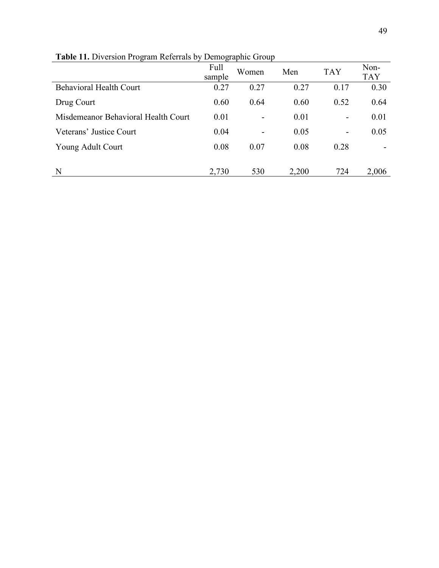| $\frac{1}{2}$                       |        | $E$ ennograpme $C$ roap  |       |                          |            |
|-------------------------------------|--------|--------------------------|-------|--------------------------|------------|
|                                     | Full   | Women                    | Men   | <b>TAY</b>               | Non-       |
|                                     | sample |                          |       |                          | <b>TAY</b> |
| <b>Behavioral Health Court</b>      | 0.27   | 0.27                     | 0.27  | 0.17                     | 0.30       |
| Drug Court                          | 0.60   | 0.64                     | 0.60  | 0.52                     | 0.64       |
| Misdemeanor Behavioral Health Court | 0.01   | $\overline{\phantom{0}}$ | 0.01  | $\overline{\phantom{a}}$ | 0.01       |
| Veterans' Justice Court             | 0.04   | -                        | 0.05  | -                        | 0.05       |
| Young Adult Court                   | 0.08   | 0.07                     | 0.08  | 0.28                     |            |
|                                     |        |                          |       |                          |            |
| N                                   | 2,730  | 530                      | 2,200 | 724                      | 2,006      |

**Table 11.** Diversion Program Referrals by Demographic Group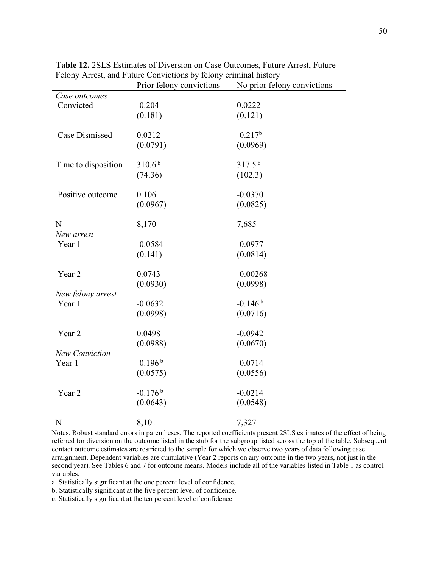|                       | Prior felony convictions | No prior felony convictions |
|-----------------------|--------------------------|-----------------------------|
| Case outcomes         |                          |                             |
| Convicted             | $-0.204$                 | 0.0222                      |
|                       | (0.181)                  | (0.121)                     |
|                       |                          |                             |
| <b>Case Dismissed</b> | 0.0212                   | $-0.217b$                   |
|                       | (0.0791)                 | (0.0969)                    |
|                       |                          |                             |
| Time to disposition   | 310.6 <sup>b</sup>       | $317.5^{b}$                 |
|                       | (74.36)                  | (102.3)                     |
|                       |                          |                             |
| Positive outcome      | 0.106                    | $-0.0370$                   |
|                       | (0.0967)                 | (0.0825)                    |
|                       |                          |                             |
| N                     | 8,170                    | 7,685                       |
| New arrest            |                          |                             |
| Year 1                | $-0.0584$                | $-0.0977$                   |
|                       | (0.141)                  | (0.0814)                    |
|                       |                          |                             |
| Year 2                | 0.0743                   | $-0.00268$                  |
|                       | (0.0930)                 | (0.0998)                    |
| New felony arrest     |                          |                             |
| Year 1                | $-0.0632$                | $-0.146b$                   |
|                       | (0.0998)                 | (0.0716)                    |
| Year <sub>2</sub>     | 0.0498                   | $-0.0942$                   |
|                       | (0.0988)                 | (0.0670)                    |
| <b>New Conviction</b> |                          |                             |
| Year 1                | $-0.196b$                | $-0.0714$                   |
|                       | (0.0575)                 | (0.0556)                    |
|                       |                          |                             |
| Year <sub>2</sub>     | $-0.176$ <sup>b</sup>    | $-0.0214$                   |
|                       | (0.0643)                 | (0.0548)                    |
|                       |                          |                             |
| N                     | 8,101                    | 7,327                       |

**Table 12.** 2SLS Estimates of Diversion on Case Outcomes, Future Arrest, Future Felony Arrest, and Future Convictions by felony criminal history

Notes. Robust standard errors in parentheses. The reported coefficients present 2SLS estimates of the effect of being referred for diversion on the outcome listed in the stub for the subgroup listed across the top of the table. Subsequent contact outcome estimates are restricted to the sample for which we observe two years of data following case arraignment. Dependent variables are cumulative (Year 2 reports on any outcome in the two years, not just in the second year). See Tables 6 and 7 for outcome means. Models include all of the variables listed in Table 1 as control variables.

a. Statistically significant at the one percent level of confidence.

b. Statistically significant at the five percent level of confidence.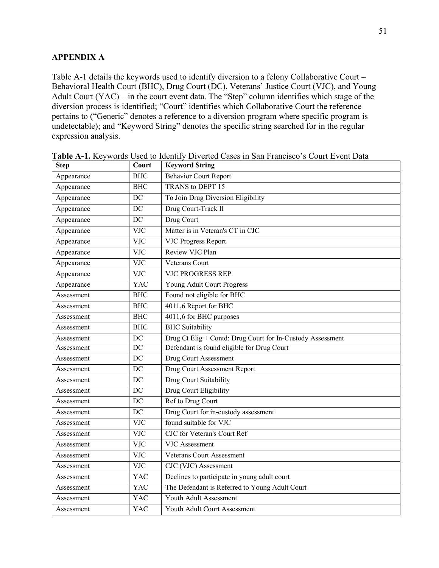# **APPENDIX A**

Table A-1 details the keywords used to identify diversion to a felony Collaborative Court – Behavioral Health Court (BHC), Drug Court (DC), Veterans' Justice Court (VJC), and Young Adult Court (YAC) – in the court event data. The "Step" column identifies which stage of the diversion process is identified; "Court" identifies which Collaborative Court the reference pertains to ("Generic" denotes a reference to a diversion program where specific program is undetectable); and "Keyword String" denotes the specific string searched for in the regular expression analysis.

| <b>Step</b> | Court            | <b>Keyword String</b>                                      |  |
|-------------|------------------|------------------------------------------------------------|--|
| Appearance  | <b>BHC</b>       | <b>Behavior Court Report</b>                               |  |
| Appearance  | <b>BHC</b>       | TRANS to DEPT 15                                           |  |
| Appearance  | DC               | To Join Drug Diversion Eligibility                         |  |
| Appearance  | DC               | Drug Court-Track II                                        |  |
| Appearance  | DC               | Drug Court                                                 |  |
| Appearance  | <b>VJC</b>       | Matter is in Veteran's CT in CJC                           |  |
| Appearance  | <b>VJC</b>       | <b>VJC Progress Report</b>                                 |  |
| Appearance  | <b>VJC</b>       | Review VJC Plan                                            |  |
| Appearance  | <b>VJC</b>       | <b>Veterans Court</b>                                      |  |
| Appearance  | <b>VJC</b>       | <b>VJC PROGRESS REP</b>                                    |  |
| Appearance  | YAC              | Young Adult Court Progress                                 |  |
| Assessment  | <b>BHC</b>       | Found not eligible for BHC                                 |  |
| Assessment  | <b>BHC</b>       | 4011,6 Report for BHC                                      |  |
| Assessment  | <b>BHC</b>       | 4011,6 for BHC purposes                                    |  |
| Assessment  | <b>BHC</b>       | <b>BHC</b> Suitability                                     |  |
| Assessment  | DC               | Drug Ct Elig + Contd: Drug Court for In-Custody Assessment |  |
| Assessment  | DC               | Defendant is found eligible for Drug Court                 |  |
| Assessment  | DC               | Drug Court Assessment                                      |  |
| Assessment  | DC               | Drug Court Assessment Report                               |  |
| Assessment  | DC               | Drug Court Suitability                                     |  |
| Assessment  | DC               | Drug Court Eligibility                                     |  |
| Assessment  | DC               | Ref to Drug Court                                          |  |
| Assessment  | DC               | Drug Court for in-custody assessment                       |  |
| Assessment  | <b>VJC</b>       | found suitable for VJC                                     |  |
| Assessment  | $\overline{VJC}$ | <b>CJC</b> for Veteran's Court Ref                         |  |
| Assessment  | <b>VJC</b>       | <b>VJC</b> Assessment                                      |  |
| Assessment  | <b>VJC</b>       | <b>Veterans Court Assessment</b>                           |  |
| Assessment  | <b>VJC</b>       | CJC (VJC) Assessment                                       |  |
| Assessment  | <b>YAC</b>       | Declines to participate in young adult court               |  |
| Assessment  | YAC              | The Defendant is Referred to Young Adult Court             |  |
| Assessment  | <b>YAC</b>       | Youth Adult Assessment                                     |  |
| Assessment  | YAC              | Youth Adult Court Assessment                               |  |

**Table A-1.** Keywords Used to Identify Diverted Cases in San Francisco's Court Event Data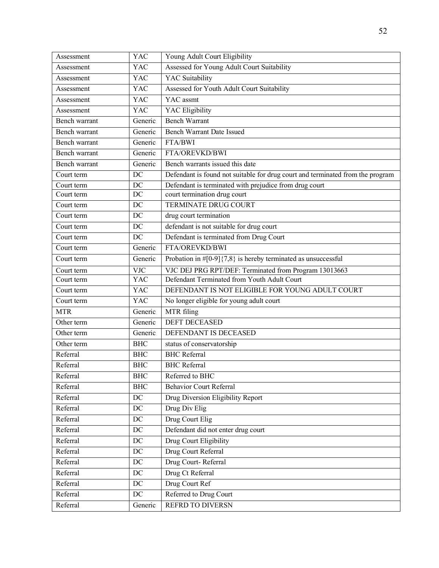| Assessment               | YAC        | Young Adult Court Eligibility                                                  |  |
|--------------------------|------------|--------------------------------------------------------------------------------|--|
| Assessment               | <b>YAC</b> | Assessed for Young Adult Court Suitability                                     |  |
| Assessment               | YAC        | YAC Suitability                                                                |  |
| Assessment               | <b>YAC</b> | Assessed for Youth Adult Court Suitability                                     |  |
| Assessment               | <b>YAC</b> | YAC assmt                                                                      |  |
| Assessment               | <b>YAC</b> | <b>YAC</b> Eligibility                                                         |  |
| Bench warrant            | Generic    | <b>Bench Warrant</b>                                                           |  |
| Bench warrant            | Generic    | <b>Bench Warrant Date Issued</b>                                               |  |
| Bench warrant            | Generic    | FTA/BWI                                                                        |  |
| Bench warrant            | Generic    | FTA/OREVKD/BWI                                                                 |  |
| Bench warrant            | Generic    | Bench warrants issued this date                                                |  |
| Court term               | DC         | Defendant is found not suitable for drug court and terminated from the program |  |
| Court term               | DC         | Defendant is terminated with prejudice from drug court                         |  |
| Court term               | DC         | court termination drug court                                                   |  |
| Court term               | DC         | TERMINATE DRUG COURT                                                           |  |
| Court term               | DC         | drug court termination                                                         |  |
| Court term               | DC         | defendant is not suitable for drug court                                       |  |
| Court term               | DC         | Defendant is terminated from Drug Court                                        |  |
| $\overline{C}$ ourt term | Generic    | FTA/OREVKD/BWI                                                                 |  |
| Court term               | Generic    | Probation in $\#[0-9]\{7,8\}$ is hereby terminated as unsuccessful             |  |
| Court term               | <b>VJC</b> | VJC DEJ PRG RPT/DEF: Terminated from Program 13013663                          |  |
| Court term               | <b>YAC</b> | Defendant Terminated from Youth Adult Court                                    |  |
| Court term               | <b>YAC</b> | DEFENDANT IS NOT ELIGIBLE FOR YOUNG ADULT COURT                                |  |
| Court term               | <b>YAC</b> | No longer eligible for young adult court                                       |  |
| <b>MTR</b>               | Generic    | MTR filing                                                                     |  |
| Other term               | Generic    | <b>DEFT DECEASED</b>                                                           |  |
| Other term               | Generic    | DEFENDANT IS DECEASED                                                          |  |
| Other term               | <b>BHC</b> | status of conservatorship                                                      |  |
| Referral                 | <b>BHC</b> | <b>BHC</b> Referral                                                            |  |
| Referral                 | <b>BHC</b> | <b>BHC</b> Referral                                                            |  |
| Referral                 | <b>BHC</b> | Referred to BHC                                                                |  |
| Referral                 | <b>BHC</b> | Behavior Court Referral                                                        |  |
| Referral                 | $DC$       | Drug Diversion Eligibility Report                                              |  |
| Referral                 | $\rm DC$   | Drug Div Elig                                                                  |  |
| Referral                 | $\rm DC$   | Drug Court Elig                                                                |  |
| Referral                 | DC         | Defendant did not enter drug court                                             |  |
| Referral                 | DC         | Drug Court Eligibility                                                         |  |
| Referral                 | $\rm DC$   | Drug Court Referral                                                            |  |
| Referral                 | $\rm DC$   | Drug Court-Referral                                                            |  |
| Referral                 | DC         | Drug Ct Referral                                                               |  |
| Referral                 | $DC$       | Drug Court Ref                                                                 |  |
| Referral                 | $\rm DC$   | Referred to Drug Court                                                         |  |
| Referral                 | Generic    | <b>REFRD TO DIVERSN</b>                                                        |  |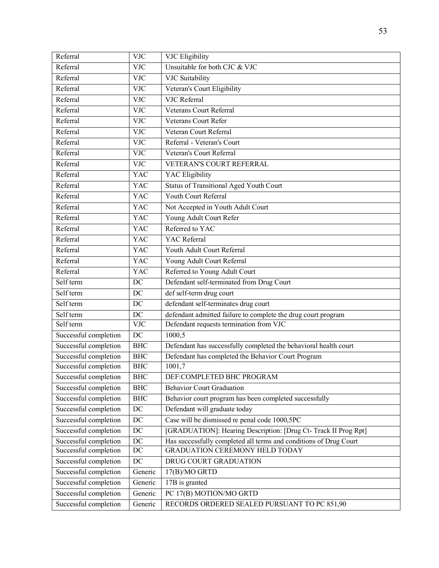| Referral               | <b>VJC</b>       | <b>VJC</b> Eligibility                                            |  |
|------------------------|------------------|-------------------------------------------------------------------|--|
| Referral               | <b>VJC</b>       | Unsuitable for both CJC & VJC                                     |  |
| Referral               | <b>VJC</b>       | VJC Suitability                                                   |  |
| Referral               | $\overline{VJC}$ | Veteran's Court Eligibility                                       |  |
| Referral               | <b>VJC</b>       | VJC Referral                                                      |  |
| Referral               | <b>VJC</b>       | Veterans Court Referral                                           |  |
| Referral               | <b>VJC</b>       | Veterans Court Refer                                              |  |
| Referral               | <b>VJC</b>       | Veteran Court Referral                                            |  |
| Referral               | <b>VJC</b>       | Referral - Veteran's Court                                        |  |
| Referral               | <b>VJC</b>       | Veteran's Court Referral                                          |  |
| $\overline{R}$ eferral | <b>VJC</b>       | VETERAN'S COURT REFERRAL                                          |  |
| Referral               | <b>YAC</b>       | <b>YAC</b> Eligibility                                            |  |
| Referral               | <b>YAC</b>       | Status of Transitional Aged Youth Court                           |  |
| Referral               | <b>YAC</b>       | Youth Court Referral                                              |  |
| Referral               | <b>YAC</b>       | Not Accepted in Youth Adult Court                                 |  |
| Referral               | YAC              | Young Adult Court Refer                                           |  |
| Referral               | <b>YAC</b>       | Referred to YAC                                                   |  |
| Referral               | <b>YAC</b>       | <b>YAC</b> Referral                                               |  |
| Referral               | <b>YAC</b>       | Youth Adult Court Referral                                        |  |
| Referral               | <b>YAC</b>       | Young Adult Court Referral                                        |  |
| Referral               | <b>YAC</b>       | Referred to Young Adult Court                                     |  |
| Self term              | DC               | Defendant self-terminated from Drug Court                         |  |
| Self term              | DC               | def self-term drug court                                          |  |
| Self term              | DC               | defendant self-terminates drug court                              |  |
| Self term              | DC               | defendant admitted failure to complete the drug court program     |  |
| Self term              | <b>VJC</b>       | Defendant requests termination from VJC                           |  |
| Successful completion  | DC               | 1000,5                                                            |  |
| Successful completion  | <b>BHC</b>       | Defendant has successfully completed the behavioral health court  |  |
| Successful completion  | <b>BHC</b>       | Defendant has completed the Behavior Court Program                |  |
| Successful completion  | <b>BHC</b>       | 1001,7                                                            |  |
| Successful completion  | <b>BHC</b>       | DEF:COMPLETED BHC PROGRAM                                         |  |
| Successful completion  | <b>BHC</b>       | <b>Behavior Court Graduation</b>                                  |  |
| Successful completion  | <b>BHC</b>       | Behavior court program has been completed successfully            |  |
| Successful completion  | $\rm DC$         | Defendant will graduate today                                     |  |
| Successful completion  | $DC$             | Case will be dismissed re penal code 1000,5PC                     |  |
| Successful completion  | $\rm DC$         | [GRADUATION]: Hearing Description: [Drug Ct- Track II Prog Rpt]   |  |
| Successful completion  | DC               | Has successfully completed all terms and conditions of Drug Court |  |
| Successful completion  | DC               | <b>GRADUATION CEREMONY HELD TODAY</b>                             |  |
| Successful completion  | DC               | DRUG COURT GRADUATION                                             |  |
| Successful completion  | Generic          | 17(B)/MO GRTD                                                     |  |
| Successful completion  | Generic          | 17B is granted                                                    |  |
| Successful completion  | Generic          | PC 17(B) MOTION/MO GRTD                                           |  |
| Successful completion  | Generic          | RECORDS ORDERED SEALED PURSUANT TO PC 851,90                      |  |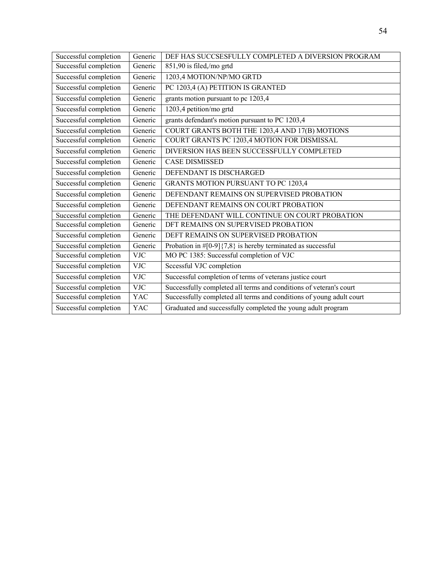| Successful completion | Generic    | DEF HAS SUCCSESFULLY COMPLETED A DIVERSION PROGRAM                   |  |
|-----------------------|------------|----------------------------------------------------------------------|--|
| Successful completion | Generic    | 851,90 is filed,/mo grtd                                             |  |
| Successful completion | Generic    | 1203,4 MOTION/NP/MO GRTD                                             |  |
| Successful completion | Generic    | PC 1203,4 (A) PETITION IS GRANTED                                    |  |
| Successful completion | Generic    | grants motion pursuant to pc 1203,4                                  |  |
| Successful completion | Generic    | 1203,4 petition/mo grtd                                              |  |
| Successful completion | Generic    | grants defendant's motion pursuant to PC 1203,4                      |  |
| Successful completion | Generic    | COURT GRANTS BOTH THE 1203,4 AND 17(B) MOTIONS                       |  |
| Successful completion | Generic    | COURT GRANTS PC 1203,4 MOTION FOR DISMISSAL                          |  |
| Successful completion | Generic    | DIVERSION HAS BEEN SUCCESSFULLY COMPLETED                            |  |
| Successful completion | Generic    | <b>CASE DISMISSED</b>                                                |  |
| Successful completion | Generic    | DEFENDANT IS DISCHARGED                                              |  |
| Successful completion | Generic    | GRANTS MOTION PURSUANT TO PC 1203,4                                  |  |
| Successful completion | Generic    | DEFENDANT REMAINS ON SUPERVISED PROBATION                            |  |
| Successful completion | Generic    | DEFENDANT REMAINS ON COURT PROBATION                                 |  |
| Successful completion | Generic    | THE DEFENDANT WILL CONTINUE ON COURT PROBATION                       |  |
| Successful completion | Generic    | DFT REMAINS ON SUPERVISED PROBATION                                  |  |
| Successful completion | Generic    | DEFT REMAINS ON SUPERVISED PROBATION                                 |  |
| Successful completion | Generic    | Probation in $\#[0-9]\{7,8\}$ is hereby terminated as successful     |  |
| Successful completion | <b>VJC</b> | MO PC 1385: Successful completion of VJC                             |  |
| Successful completion | <b>VJC</b> | Sccessful VJC completion                                             |  |
| Successful completion | <b>VJC</b> | Successful completion of terms of veterans justice court             |  |
| Successful completion | <b>VJC</b> | Successfully completed all terms and conditions of veteran's court   |  |
| Successful completion | <b>YAC</b> | Successfully completed all terms and conditions of young adult court |  |
| Successful completion | <b>YAC</b> | Graduated and successfully completed the young adult program         |  |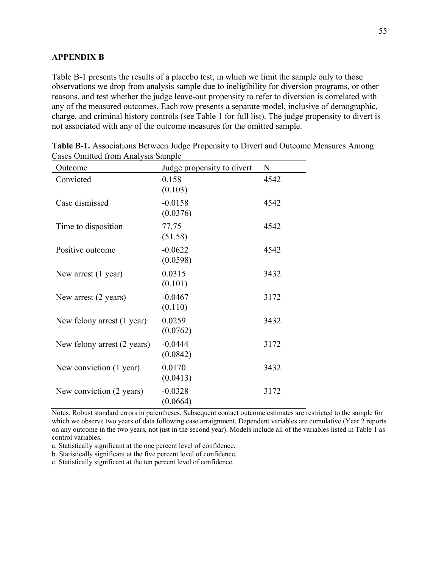#### **APPENDIX B**

Table B-1 presents the results of a placebo test, in which we limit the sample only to those observations we drop from analysis sample due to ineligibility for diversion programs, or other reasons, and test whether the judge leave-out propensity to refer to diversion is correlated with any of the measured outcomes. Each row presents a separate model, inclusive of demographic, charge, and criminal history controls (see Table 1 for full list). The judge propensity to divert is not associated with any of the outcome measures for the omitted sample.

| Outcome                     | Judge propensity to divert | N    |
|-----------------------------|----------------------------|------|
| Convicted                   | 0.158<br>(0.103)           | 4542 |
| Case dismissed              | $-0.0158$<br>(0.0376)      | 4542 |
| Time to disposition         | 77.75<br>(51.58)           | 4542 |
| Positive outcome            | $-0.0622$<br>(0.0598)      | 4542 |
| New arrest $(1$ year)       | 0.0315<br>(0.101)          | 3432 |
| New arrest (2 years)        | $-0.0467$<br>(0.110)       | 3172 |
| New felony arrest (1 year)  | 0.0259<br>(0.0762)         | 3432 |
| New felony arrest (2 years) | $-0.0444$<br>(0.0842)      | 3172 |
| New conviction (1 year)     | 0.0170<br>(0.0413)         | 3432 |
| New conviction (2 years)    | $-0.0328$<br>(0.0664)      | 3172 |

**Table B-1.** Associations Between Judge Propensity to Divert and Outcome Measures Among Cases Omitted from Analysis Sample

Notes. Robust standard errors in parentheses. Subsequent contact outcome estimates are restricted to the sample for which we observe two years of data following case arraignment. Dependent variables are cumulative (Year 2 reports on any outcome in the two years, not just in the second year). Models include all of the variables listed in Table 1 as control variables.

a. Statistically significant at the one percent level of confidence.

b. Statistically significant at the five percent level of confidence.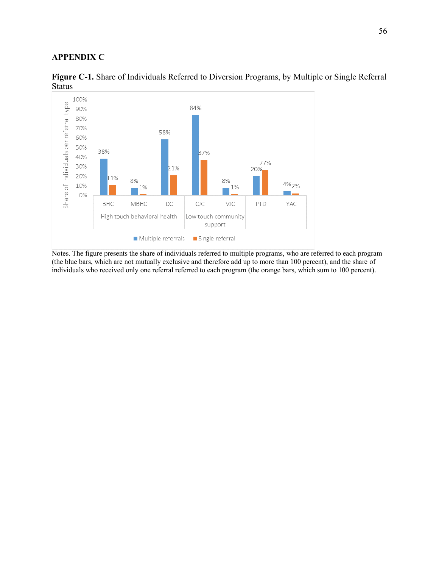# **APPENDIX C**



**Figure C-1.** Share of Individuals Referred to Diversion Programs, by Multiple or Single Referral Status

Notes. The figure presents the share of individuals referred to multiple programs, who are referred to each program (the blue bars, which are not mutually exclusive and therefore add up to more than 100 percent), and the share of individuals who received only one referral referred to each program (the orange bars, which sum to 100 percent).